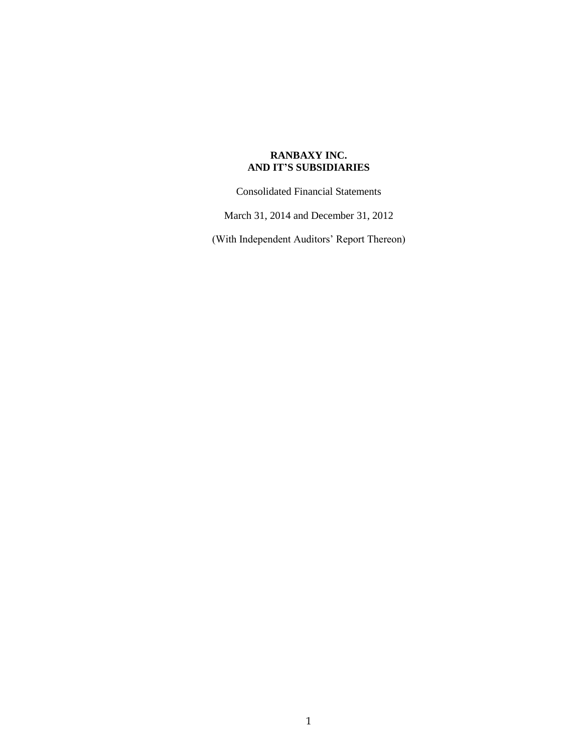# **RANBAXY INC. AND IT'S SUBSIDIARIES**

Consolidated Financial Statements

March 31, 2014 and December 31, 2012

(With Independent Auditors" Report Thereon)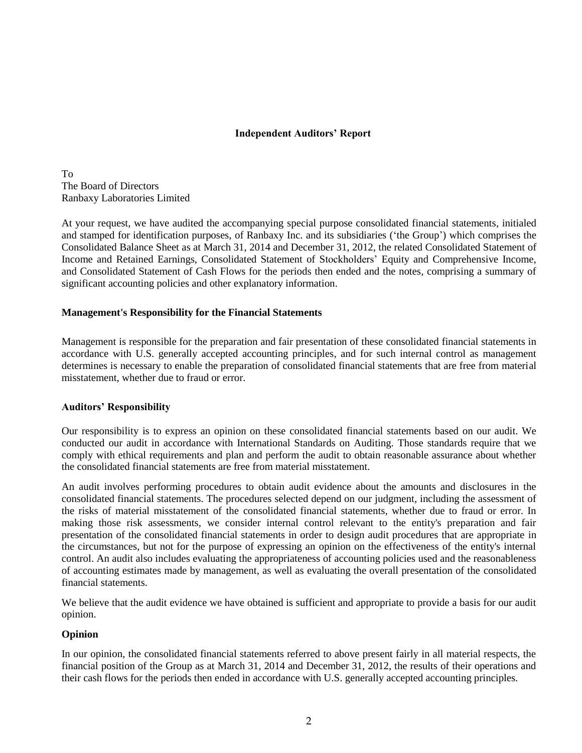# **Independent Auditors' Report**

To The Board of Directors Ranbaxy Laboratories Limited

At your request, we have audited the accompanying special purpose consolidated financial statements, initialed and stamped for identification purposes, of Ranbaxy Inc. and its subsidiaries ("the Group") which comprises the Consolidated Balance Sheet as at March 31, 2014 and December 31, 2012, the related Consolidated Statement of Income and Retained Earnings, Consolidated Statement of Stockholders" Equity and Comprehensive Income, and Consolidated Statement of Cash Flows for the periods then ended and the notes, comprising a summary of significant accounting policies and other explanatory information.

### **Management's Responsibility for the Financial Statements**

Management is responsible for the preparation and fair presentation of these consolidated financial statements in accordance with U.S. generally accepted accounting principles, and for such internal control as management determines is necessary to enable the preparation of consolidated financial statements that are free from material misstatement, whether due to fraud or error.

### **Auditors' Responsibility**

Our responsibility is to express an opinion on these consolidated financial statements based on our audit. We conducted our audit in accordance with International Standards on Auditing. Those standards require that we comply with ethical requirements and plan and perform the audit to obtain reasonable assurance about whether the consolidated financial statements are free from material misstatement.

An audit involves performing procedures to obtain audit evidence about the amounts and disclosures in the consolidated financial statements. The procedures selected depend on our judgment, including the assessment of the risks of material misstatement of the consolidated financial statements, whether due to fraud or error. In making those risk assessments, we consider internal control relevant to the entity's preparation and fair presentation of the consolidated financial statements in order to design audit procedures that are appropriate in the circumstances, but not for the purpose of expressing an opinion on the effectiveness of the entity's internal control. An audit also includes evaluating the appropriateness of accounting policies used and the reasonableness of accounting estimates made by management, as well as evaluating the overall presentation of the consolidated financial statements.

We believe that the audit evidence we have obtained is sufficient and appropriate to provide a basis for our audit opinion.

### **Opinion**

In our opinion, the consolidated financial statements referred to above present fairly in all material respects, the financial position of the Group as at March 31, 2014 and December 31, 2012, the results of their operations and their cash flows for the periods then ended in accordance with U.S. generally accepted accounting principles.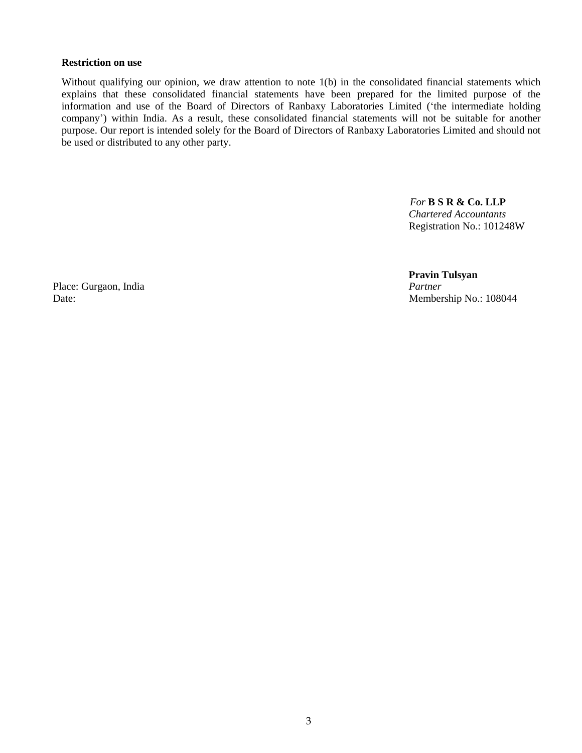#### **Restriction on use**

Without qualifying our opinion, we draw attention to note 1(b) in the consolidated financial statements which explains that these consolidated financial statements have been prepared for the limited purpose of the information and use of the Board of Directors of Ranbaxy Laboratories Limited ("the intermediate holding company") within India. As a result, these consolidated financial statements will not be suitable for another purpose. Our report is intended solely for the Board of Directors of Ranbaxy Laboratories Limited and should not be used or distributed to any other party.

> *For* **B S R & Co. LLP**  *Chartered Accountants* Registration No.: 101248W

 **Pravin Tulsyan** Date: Membership No.: 108044

Place: Gurgaon, India *Partner*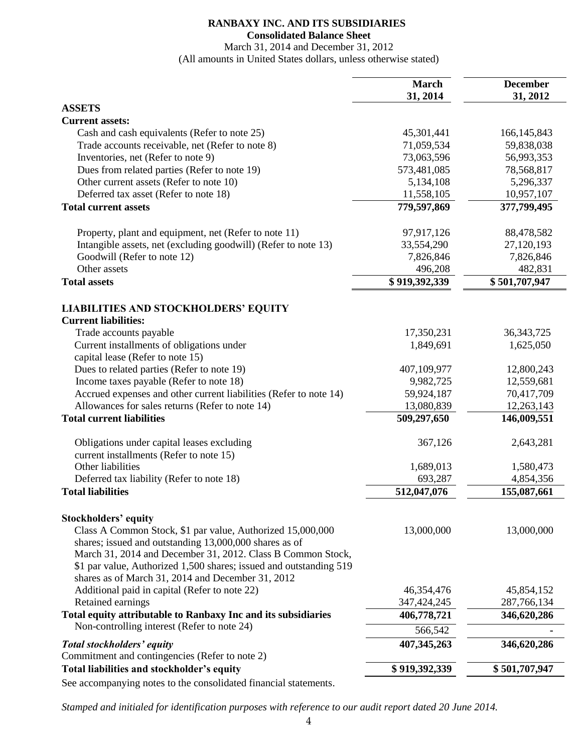### **RANBAXY INC. AND ITS SUBSIDIARIES Consolidated Balance Sheet**

March 31, 2014 and December 31, 2012 (All amounts in United States dollars, unless otherwise stated)

|                                                                                                                         | <b>March</b>  | <b>December</b> |
|-------------------------------------------------------------------------------------------------------------------------|---------------|-----------------|
|                                                                                                                         | 31, 2014      | 31, 2012        |
| <b>ASSETS</b>                                                                                                           |               |                 |
| <b>Current assets:</b>                                                                                                  |               |                 |
| Cash and cash equivalents (Refer to note 25)                                                                            | 45,301,441    | 166, 145, 843   |
| Trade accounts receivable, net (Refer to note 8)                                                                        | 71,059,534    | 59,838,038      |
| Inventories, net (Refer to note 9)                                                                                      | 73,063,596    | 56,993,353      |
| Dues from related parties (Refer to note 19)                                                                            | 573,481,085   | 78,568,817      |
| Other current assets (Refer to note 10)                                                                                 | 5,134,108     | 5,296,337       |
| Deferred tax asset (Refer to note 18)                                                                                   | 11,558,105    | 10,957,107      |
| <b>Total current assets</b>                                                                                             | 779,597,869   | 377,799,495     |
|                                                                                                                         | 97,917,126    | 88,478,582      |
| Property, plant and equipment, net (Refer to note 11)<br>Intangible assets, net (excluding goodwill) (Refer to note 13) | 33,554,290    | 27,120,193      |
| Goodwill (Refer to note 12)                                                                                             | 7,826,846     | 7,826,846       |
| Other assets                                                                                                            | 496,208       | 482,831         |
| <b>Total assets</b>                                                                                                     | \$919,392,339 | \$501,707,947   |
|                                                                                                                         |               |                 |
| <b>LIABILITIES AND STOCKHOLDERS' EQUITY</b>                                                                             |               |                 |
| <b>Current liabilities:</b>                                                                                             |               |                 |
| Trade accounts payable                                                                                                  | 17,350,231    | 36, 343, 725    |
| Current installments of obligations under                                                                               | 1,849,691     | 1,625,050       |
| capital lease (Refer to note 15)                                                                                        |               |                 |
| Dues to related parties (Refer to note 19)                                                                              | 407,109,977   | 12,800,243      |
| Income taxes payable (Refer to note 18)                                                                                 | 9,982,725     | 12,559,681      |
| Accrued expenses and other current liabilities (Refer to note 14)                                                       | 59,924,187    | 70,417,709      |
| Allowances for sales returns (Refer to note 14)                                                                         | 13,080,839    | 12,263,143      |
| <b>Total current liabilities</b>                                                                                        | 509,297,650   | 146,009,551     |
|                                                                                                                         |               |                 |
| Obligations under capital leases excluding                                                                              | 367,126       | 2,643,281       |
| current installments (Refer to note 15)                                                                                 |               |                 |
| Other liabilities                                                                                                       | 1,689,013     | 1,580,473       |
| Deferred tax liability (Refer to note 18)                                                                               | 693,287       | 4,854,356       |
| <b>Total liabilities</b>                                                                                                | 512,047,076   | 155,087,661     |
| <b>Stockholders' equity</b>                                                                                             |               |                 |
| Class A Common Stock, \$1 par value, Authorized 15,000,000                                                              | 13,000,000    | 13,000,000      |
| shares; issued and outstanding 13,000,000 shares as of                                                                  |               |                 |
| March 31, 2014 and December 31, 2012. Class B Common Stock,                                                             |               |                 |
| \$1 par value, Authorized 1,500 shares; issued and outstanding 519                                                      |               |                 |
| shares as of March 31, 2014 and December 31, 2012                                                                       |               |                 |
| Additional paid in capital (Refer to note 22)                                                                           | 46, 354, 476  | 45,854,152      |
| Retained earnings                                                                                                       | 347, 424, 245 | 287, 766, 134   |
| Total equity attributable to Ranbaxy Inc and its subsidiaries                                                           | 406,778,721   | 346,620,286     |
| Non-controlling interest (Refer to note 24)                                                                             | 566,542       |                 |
| Total stockholders' equity                                                                                              | 407, 345, 263 | 346,620,286     |
| Commitment and contingencies (Refer to note 2)                                                                          |               |                 |
| Total liabilities and stockholder's equity                                                                              | \$919,392,339 | \$501,707,947   |
| See accompanying notes to the consolidated financial statements.                                                        |               |                 |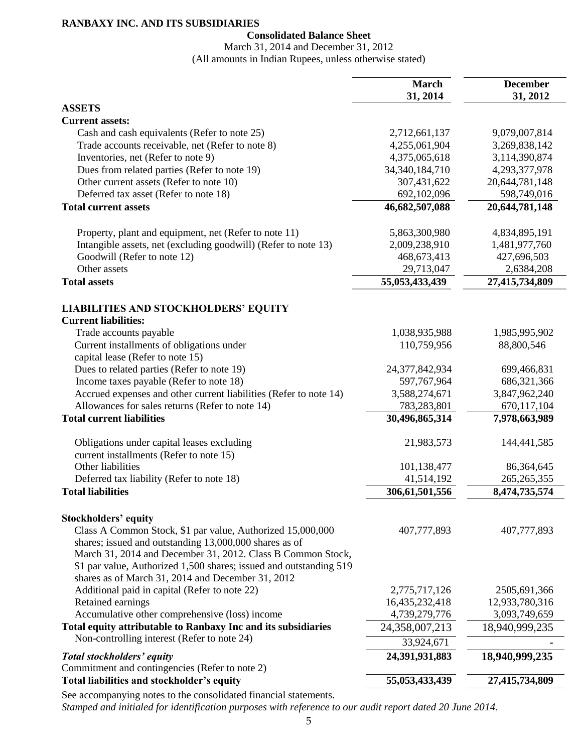# **RANBAXY INC. AND ITS SUBSIDIARIES**

# **Consolidated Balance Sheet**

March 31, 2014 and December 31, 2012 (All amounts in Indian Rupees, unless otherwise stated)

|                                                                                     | <b>March</b><br>31, 2014      | <b>December</b><br>31, 2012  |
|-------------------------------------------------------------------------------------|-------------------------------|------------------------------|
| <b>ASSETS</b>                                                                       |                               |                              |
| <b>Current assets:</b>                                                              |                               |                              |
| Cash and cash equivalents (Refer to note 25)                                        | 2,712,661,137                 | 9,079,007,814                |
| Trade accounts receivable, net (Refer to note 8)                                    | 4,255,061,904                 | 3,269,838,142                |
| Inventories, net (Refer to note 9)                                                  | 4,375,065,618                 | 3,114,390,874                |
| Dues from related parties (Refer to note 19)                                        | 34, 340, 184, 710             | 4,293,377,978                |
| Other current assets (Refer to note 10)                                             | 307,431,622                   | 20,644,781,148               |
| Deferred tax asset (Refer to note 18)                                               | 692,102,096                   | 598,749,016                  |
| <b>Total current assets</b>                                                         | 46,682,507,088                | 20,644,781,148               |
|                                                                                     |                               |                              |
| Property, plant and equipment, net (Refer to note 11)                               | 5,863,300,980                 | 4,834,895,191                |
| Intangible assets, net (excluding goodwill) (Refer to note 13)                      | 2,009,238,910                 | 1,481,977,760                |
| Goodwill (Refer to note 12)                                                         | 468, 673, 413                 | 427,696,503                  |
| Other assets                                                                        | 29,713,047                    | 2,6384,208                   |
| <b>Total assets</b>                                                                 | 55,053,433,439                | 27,415,734,809               |
| <b>LIABILITIES AND STOCKHOLDERS' EQUITY</b>                                         |                               |                              |
| <b>Current liabilities:</b>                                                         |                               |                              |
| Trade accounts payable                                                              | 1,038,935,988                 | 1,985,995,902                |
| Current installments of obligations under                                           | 110,759,956                   | 88,800,546                   |
| capital lease (Refer to note 15)<br>Dues to related parties (Refer to note 19)      | 24,377,842,934                | 699,466,831                  |
|                                                                                     | 597, 767, 964                 | 686, 321, 366                |
| Income taxes payable (Refer to note 18)                                             |                               |                              |
| Accrued expenses and other current liabilities (Refer to note 14)                   | 3,588,274,671                 | 3,847,962,240                |
| Allowances for sales returns (Refer to note 14)<br><b>Total current liabilities</b> | 783,283,801<br>30,496,865,314 | 670,117,104<br>7,978,663,989 |
|                                                                                     |                               |                              |
| Obligations under capital leases excluding                                          | 21,983,573                    | 144,441,585                  |
| current installments (Refer to note 15)                                             |                               |                              |
| Other liabilities                                                                   | 101,138,477                   | 86,364,645                   |
| Deferred tax liability (Refer to note 18)                                           | 41,514,192                    | 265, 265, 355                |
| <b>Total liabilities</b>                                                            | 306,61,501,556                | 8,474,735,574                |
| <b>Stockholders' equity</b>                                                         |                               |                              |
| Class A Common Stock, \$1 par value, Authorized 15,000,000                          | 407,777,893                   | 407,777,893                  |
| shares; issued and outstanding 13,000,000 shares as of                              |                               |                              |
| March 31, 2014 and December 31, 2012. Class B Common Stock,                         |                               |                              |
| \$1 par value, Authorized 1,500 shares; issued and outstanding 519                  |                               |                              |
| shares as of March 31, 2014 and December 31, 2012                                   |                               |                              |
| Additional paid in capital (Refer to note 22)                                       | 2,775,717,126                 | 2505,691,366                 |
| Retained earnings                                                                   | 16,435,232,418                | 12,933,780,316               |
| Accumulative other comprehensive (loss) income                                      | 4,739,279,776                 | 3,093,749,659                |
| Total equity attributable to Ranbaxy Inc and its subsidiaries                       | 24,358,007,213                | 18,940,999,235               |
| Non-controlling interest (Refer to note 24)                                         | 33,924,671                    |                              |
| Total stockholders' equity                                                          | 24,391,931,883                | 18,940,999,235               |
| Commitment and contingencies (Refer to note 2)                                      |                               |                              |
| Total liabilities and stockholder's equity                                          | 55,053,433,439                | 27,415,734,809               |
| See accompanying notes to the consolidated financial statements                     |                               |                              |

See accompanying notes to the consolidated financial statements.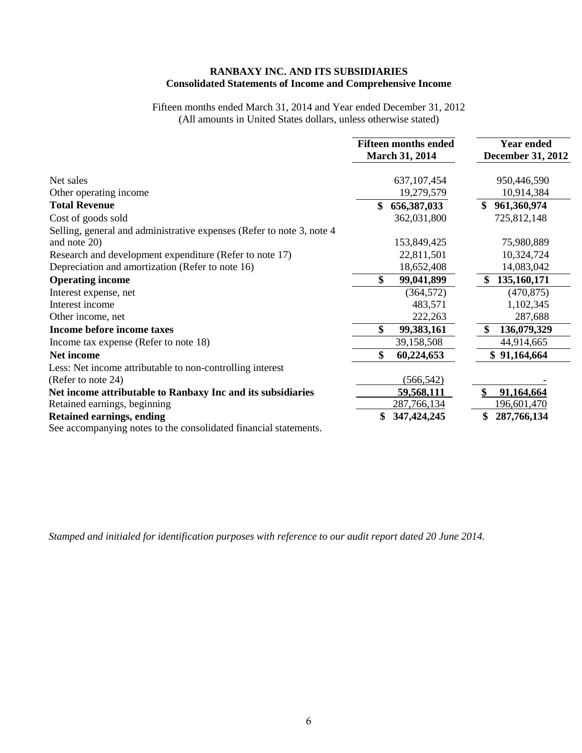## **RANBAXY INC. AND ITS SUBSIDIARIES Consolidated Statements of Income and Comprehensive Income**

Fifteen months ended March 31, 2014 and Year ended December 31, 2012 (All amounts in United States dollars, unless otherwise stated)

|                                                                       | <b>Fifteen months ended</b><br><b>March 31, 2014</b> |    | <b>Year ended</b><br><b>December 31, 2012</b> |
|-----------------------------------------------------------------------|------------------------------------------------------|----|-----------------------------------------------|
| Net sales                                                             | 637, 107, 454                                        |    | 950,446,590                                   |
| Other operating income                                                | 19,279,579                                           |    | 10,914,384                                    |
| <b>Total Revenue</b>                                                  | \$<br>656,387,033                                    | S  | 961,360,974                                   |
| Cost of goods sold                                                    | 362,031,800                                          |    | 725,812,148                                   |
| Selling, general and administrative expenses (Refer to note 3, note 4 |                                                      |    |                                               |
| and note 20)                                                          | 153,849,425                                          |    | 75,980,889                                    |
| Research and development expenditure (Refer to note 17)               | 22,811,501                                           |    | 10,324,724                                    |
| Depreciation and amortization (Refer to note 16)                      | 18,652,408                                           |    | 14,083,042                                    |
| <b>Operating income</b>                                               | \$<br>99,041,899                                     |    | 135,160,171                                   |
| Interest expense, net                                                 | (364, 572)                                           |    | (470, 875)                                    |
| Interest income                                                       | 483,571                                              |    | 1,102,345                                     |
| Other income, net                                                     | 222,263                                              |    | 287,688                                       |
| Income before income taxes                                            | \$<br>99,383,161                                     | \$ | 136,079,329                                   |
| Income tax expense (Refer to note 18)                                 | 39,158,508                                           |    | 44,914,665                                    |
| <b>Net income</b>                                                     | \$<br>60,224,653                                     |    | 91,164,664                                    |
| Less: Net income attributable to non-controlling interest             |                                                      |    |                                               |
| (Refer to note 24)                                                    | (566, 542)                                           |    |                                               |
| Net income attributable to Ranbaxy Inc and its subsidiaries           | 59,568,111                                           |    | 91,164,664                                    |
| Retained earnings, beginning                                          | 287,766,134                                          |    | 196,601,470                                   |
| <b>Retained earnings, ending</b>                                      | \$<br>347, 424, 245                                  | \$ | 287,766,134                                   |
| See accompanying notes to the consolidated financial statements.      |                                                      |    |                                               |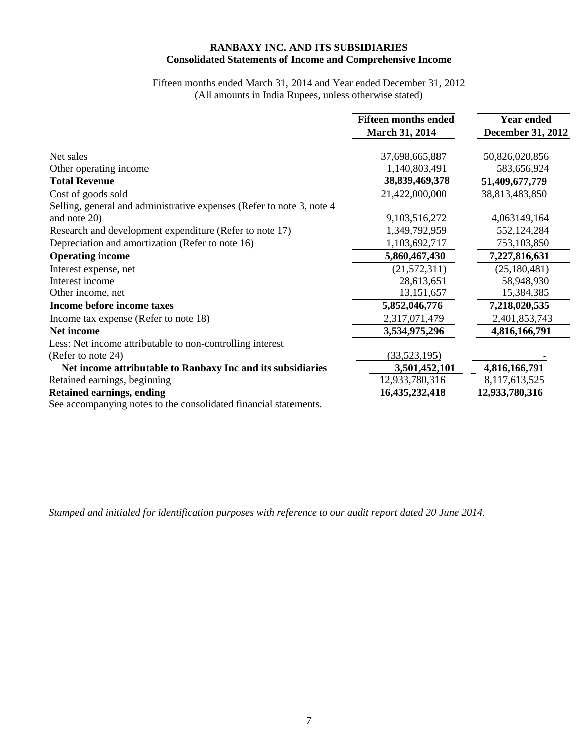### **RANBAXY INC. AND ITS SUBSIDIARIES Consolidated Statements of Income and Comprehensive Income**

## Fifteen months ended March 31, 2014 and Year ended December 31, 2012 (All amounts in India Rupees, unless otherwise stated)

|                                                                       | <b>Fifteen months ended</b><br><b>March 31, 2014</b> | <b>Year ended</b><br><b>December 31, 2012</b> |
|-----------------------------------------------------------------------|------------------------------------------------------|-----------------------------------------------|
| Net sales                                                             | 37,698,665,887                                       | 50,826,020,856                                |
| Other operating income                                                | 1,140,803,491                                        | 583,656,924                                   |
| <b>Total Revenue</b>                                                  | 38,839,469,378                                       | 51,409,677,779                                |
| Cost of goods sold                                                    | 21,422,000,000                                       | 38,813,483,850                                |
| Selling, general and administrative expenses (Refer to note 3, note 4 |                                                      |                                               |
| and note 20)                                                          | 9,103,516,272                                        | 4,063149,164                                  |
| Research and development expenditure (Refer to note 17)               | 1,349,792,959                                        | 552,124,284                                   |
| Depreciation and amortization (Refer to note 16)                      | 1,103,692,717                                        | 753,103,850                                   |
| <b>Operating income</b>                                               | 5,860,467,430                                        | 7,227,816,631                                 |
| Interest expense, net                                                 | (21,572,311)                                         | (25, 180, 481)                                |
| Interest income                                                       | 28,613,651                                           | 58,948,930                                    |
| Other income, net                                                     | 13,151,657                                           | 15,384,385                                    |
| Income before income taxes                                            | 5,852,046,776                                        | 7,218,020,535                                 |
| Income tax expense (Refer to note 18)                                 | 2,317,071,479                                        | 2,401,853,743                                 |
| <b>Net income</b>                                                     | 3,534,975,296                                        | 4,816,166,791                                 |
| Less: Net income attributable to non-controlling interest             |                                                      |                                               |
| (Refer to note 24)                                                    | (33, 523, 195)                                       |                                               |
| Net income attributable to Ranbaxy Inc and its subsidiaries           | 3,501,452,101                                        | 4,816,166,791                                 |
| Retained earnings, beginning                                          | 12,933,780,316                                       | 8,117,613,525                                 |
| <b>Retained earnings, ending</b>                                      | 16,435,232,418                                       | 12,933,780,316                                |
| See accompanying notes to the consolidated financial statements.      |                                                      |                                               |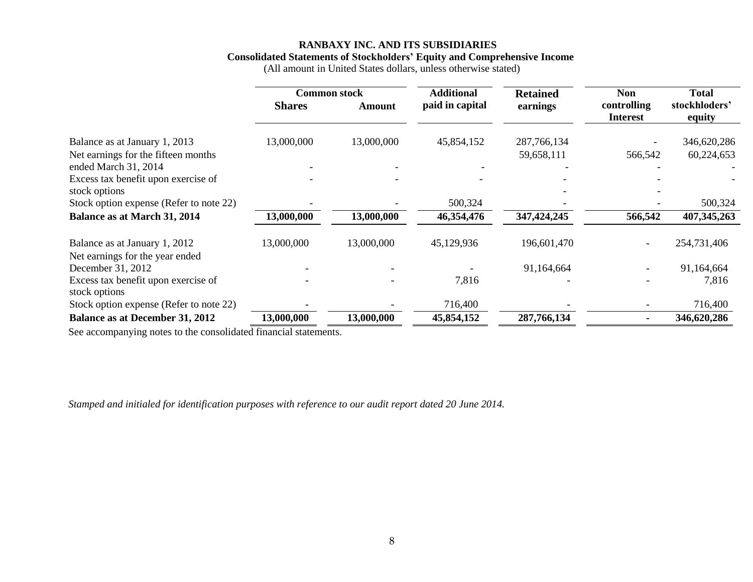# **RANBAXY INC. AND ITS SUBSIDIARIES**

#### **Consolidated Statements of Stockholders' Equity and Comprehensive Income**

(All amount in United States dollars, unless otherwise stated)

|                                                                  | <b>Common stock</b> |            | <b>Additional</b> | <b>Retained</b> | <b>Non</b>                     | <b>Total</b>            |
|------------------------------------------------------------------|---------------------|------------|-------------------|-----------------|--------------------------------|-------------------------|
|                                                                  | <b>Shares</b>       | Amount     | paid in capital   | earnings        | controlling<br><b>Interest</b> | stockhloders'<br>equity |
| Balance as at January 1, 2013                                    | 13,000,000          | 13,000,000 | 45,854,152        | 287,766,134     |                                | 346,620,286             |
| Net earnings for the fifteen months<br>ended March 31, 2014      |                     |            |                   | 59,658,111      | 566,542                        | 60,224,653              |
| Excess tax benefit upon exercise of<br>stock options             |                     |            |                   |                 |                                |                         |
| Stock option expense (Refer to note 22)                          |                     |            | 500,324           |                 |                                | 500,324                 |
| <b>Balance as at March 31, 2014</b>                              | 13,000,000          | 13,000,000 | 46,354,476        | 347, 424, 245   | 566,542                        | 407, 345, 263           |
| Balance as at January 1, 2012<br>Net earnings for the year ended | 13,000,000          | 13,000,000 | 45,129,936        | 196,601,470     | $\overline{\phantom{a}}$       | 254,731,406             |
| December 31, 2012                                                |                     |            |                   | 91,164,664      |                                | 91,164,664              |
| Excess tax benefit upon exercise of<br>stock options             |                     |            | 7,816             |                 |                                | 7,816                   |
| Stock option expense (Refer to note 22)                          |                     |            | 716,400           |                 |                                | 716,400                 |
| <b>Balance as at December 31, 2012</b>                           | 13,000,000          | 13,000,000 | 45,854,152        | 287,766,134     |                                | 346,620,286             |

See accompanying notes to the consolidated financial statements.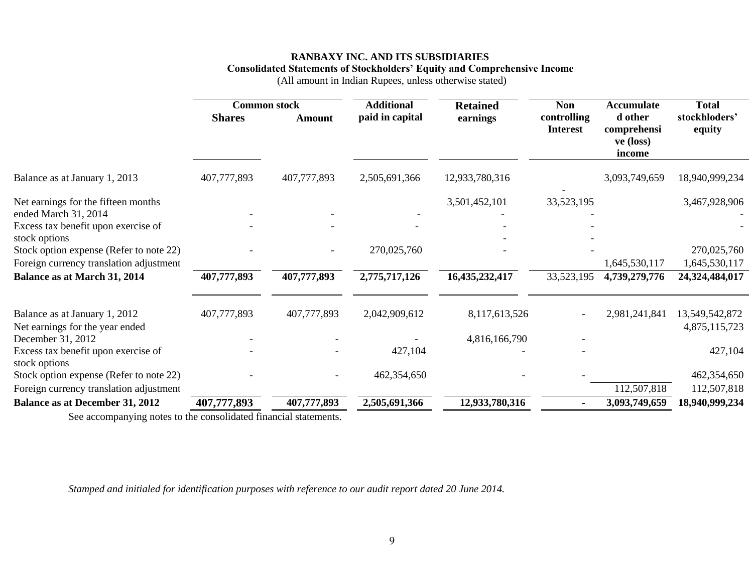### **RANBAXY INC. AND ITS SUBSIDIARIES Consolidated Statements of Stockholders' Equity and Comprehensive Income**

(All amount in Indian Rupees, unless otherwise stated)

|                                                                                    | <b>Common stock</b> |             | <b>Additional</b> | <b>Retained</b> | <b>Non</b>                     | <b>Accumulate</b>                             | <b>Total</b>                    |
|------------------------------------------------------------------------------------|---------------------|-------------|-------------------|-----------------|--------------------------------|-----------------------------------------------|---------------------------------|
|                                                                                    | <b>Shares</b>       | Amount      | paid in capital   | earnings        | controlling<br><b>Interest</b> | d other<br>comprehensi<br>ve (loss)<br>income | stockhloders'<br>equity         |
| Balance as at January 1, 2013                                                      | 407,777,893         | 407,777,893 | 2,505,691,366     | 12,933,780,316  |                                | 3,093,749,659                                 | 18,940,999,234                  |
| Net earnings for the fifteen months<br>ended March 31, 2014                        |                     |             |                   | 3,501,452,101   | 33,523,195                     |                                               | 3,467,928,906                   |
| Excess tax benefit upon exercise of<br>stock options                               |                     |             |                   |                 |                                |                                               |                                 |
| Stock option expense (Refer to note 22)<br>Foreign currency translation adjustment |                     |             | 270,025,760       |                 |                                | 1,645,530,117                                 | 270,025,760<br>1,645,530,117    |
| <b>Balance as at March 31, 2014</b>                                                | 407,777,893         | 407,777,893 | 2,775,717,126     | 16,435,232,417  | 33,523,195                     | 4,739,279,776                                 | 24,324,484,017                  |
| Balance as at January 1, 2012<br>Net earnings for the year ended                   | 407,777,893         | 407,777,893 | 2,042,909,612     | 8,117,613,526   |                                | 2,981,241,841                                 | 13,549,542,872<br>4,875,115,723 |
| December 31, 2012<br>Excess tax benefit upon exercise of<br>stock options          |                     |             | 427,104           | 4,816,166,790   |                                |                                               | 427,104                         |
| Stock option expense (Refer to note 22)<br>Foreign currency translation adjustment |                     |             | 462,354,650       |                 |                                | 112,507,818                                   | 462,354,650<br>112,507,818      |
| <b>Balance as at December 31, 2012</b>                                             | 407,777,893         | 407,777,893 | 2,505,691,366     | 12,933,780,316  |                                | 3,093,749,659                                 | 18,940,999,234                  |

See accompanying notes to the consolidated financial statements.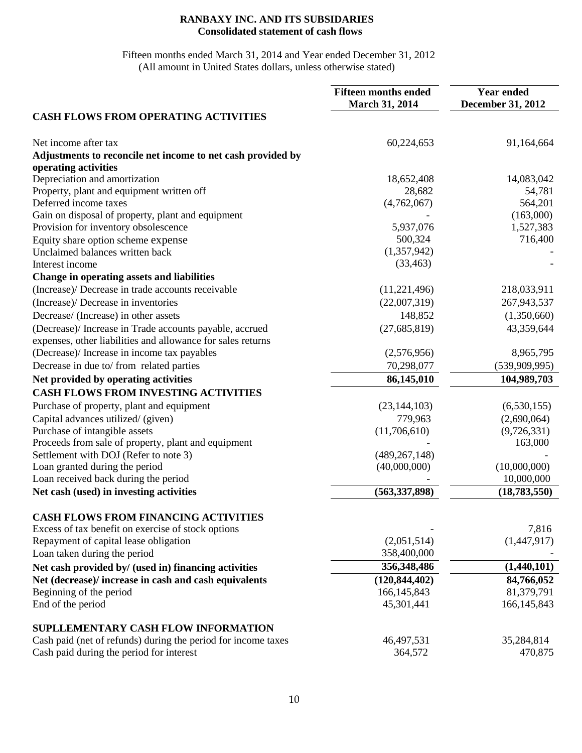# **RANBAXY INC. AND ITS SUBSIDARIES Consolidated statement of cash flows**

 Fifteen months ended March 31, 2014 and Year ended December 31, 2012 (All amount in United States dollars, unless otherwise stated)

|                                                               | <b>Fifteen months ended</b><br>March 31, 2014 | <b>Year ended</b><br>December 31, 2012 |
|---------------------------------------------------------------|-----------------------------------------------|----------------------------------------|
| <b>CASH FLOWS FROM OPERATING ACTIVITIES</b>                   |                                               |                                        |
| Net income after tax                                          | 60,224,653                                    | 91,164,664                             |
| Adjustments to reconcile net income to net cash provided by   |                                               |                                        |
| operating activities                                          |                                               |                                        |
| Depreciation and amortization                                 | 18,652,408                                    | 14,083,042                             |
| Property, plant and equipment written off                     | 28,682                                        | 54,781                                 |
| Deferred income taxes                                         | (4,762,067)                                   | 564,201                                |
| Gain on disposal of property, plant and equipment             |                                               | (163,000)                              |
| Provision for inventory obsolescence                          | 5,937,076                                     | 1,527,383                              |
| Equity share option scheme expense                            | 500,324                                       | 716,400                                |
| Unclaimed balances written back                               | (1,357,942)                                   |                                        |
| Interest income                                               | (33, 463)                                     |                                        |
| Change in operating assets and liabilities                    |                                               |                                        |
| (Increase)/ Decrease in trade accounts receivable             | (11,221,496)                                  | 218,033,911                            |
| (Increase)/ Decrease in inventories                           | (22,007,319)                                  | 267,943,537                            |
| Decrease/ (Increase) in other assets                          | 148,852                                       | (1,350,660)                            |
| (Decrease)/ Increase in Trade accounts payable, accrued       | (27, 685, 819)                                | 43,359,644                             |
| expenses, other liabilities and allowance for sales returns   |                                               |                                        |
| (Decrease)/ Increase in income tax payables                   | (2,576,956)                                   | 8,965,795                              |
| Decrease in due to/ from related parties                      | 70,298,077                                    | (539,909,995)                          |
| Net provided by operating activities                          | 86,145,010                                    | 104,989,703                            |
| <b>CASH FLOWS FROM INVESTING ACTIVITIES</b>                   |                                               |                                        |
| Purchase of property, plant and equipment                     | (23, 144, 103)                                | (6,530,155)                            |
| Capital advances utilized/ (given)                            | 779,963                                       | (2,690,064)                            |
| Purchase of intangible assets                                 | (11,706,610)                                  | (9,726,331)                            |
| Proceeds from sale of property, plant and equipment           |                                               | 163,000                                |
| Settlement with DOJ (Refer to note 3)                         | (489, 267, 148)                               |                                        |
| Loan granted during the period                                | (40,000,000)                                  | (10,000,000)                           |
| Loan received back during the period                          |                                               | 10,000,000                             |
| Net cash (used) in investing activities                       | (563, 337, 898)                               | (18, 783, 550)                         |
|                                                               |                                               |                                        |
| <b>CASH FLOWS FROM FINANCING ACTIVITIES</b>                   |                                               |                                        |
| Excess of tax benefit on exercise of stock options            |                                               | 7,816                                  |
| Repayment of capital lease obligation                         | (2,051,514)                                   | (1,447,917)                            |
| Loan taken during the period                                  | 358,400,000                                   |                                        |
| Net cash provided by/ (used in) financing activities          | 356, 348, 486                                 | (1,440,101)                            |
| Net (decrease)/ increase in cash and cash equivalents         | (120, 844, 402)                               | 84,766,052                             |
| Beginning of the period                                       | 166, 145, 843                                 | 81,379,791                             |
| End of the period                                             | 45,301,441                                    | 166, 145, 843                          |
| SUPLLEMENTARY CASH FLOW INFORMATION                           |                                               |                                        |
| Cash paid (net of refunds) during the period for income taxes | 46, 497, 531                                  | 35,284,814                             |
| Cash paid during the period for interest                      | 364,572                                       | 470,875                                |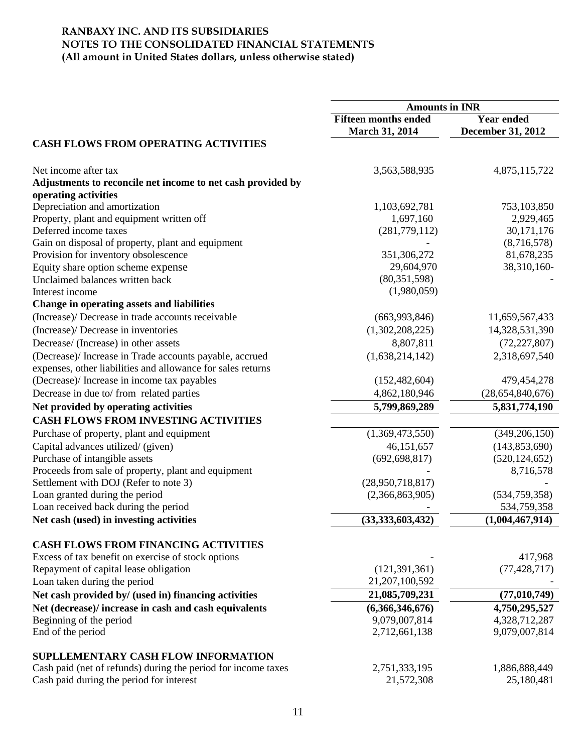|                                                                                     | <b>Amounts in INR</b>       |                     |  |
|-------------------------------------------------------------------------------------|-----------------------------|---------------------|--|
|                                                                                     | <b>Fifteen months ended</b> | <b>Year ended</b>   |  |
|                                                                                     | <b>March 31, 2014</b>       | December 31, 2012   |  |
| <b>CASH FLOWS FROM OPERATING ACTIVITIES</b>                                         |                             |                     |  |
| Net income after tax                                                                | 3,563,588,935               | 4,875,115,722       |  |
| Adjustments to reconcile net income to net cash provided by<br>operating activities |                             |                     |  |
| Depreciation and amortization                                                       | 1,103,692,781               | 753,103,850         |  |
| Property, plant and equipment written off                                           | 1,697,160                   | 2,929,465           |  |
| Deferred income taxes                                                               | (281, 779, 112)             | 30,171,176          |  |
| Gain on disposal of property, plant and equipment                                   |                             | (8,716,578)         |  |
| Provision for inventory obsolescence                                                | 351,306,272                 | 81,678,235          |  |
| Equity share option scheme expense                                                  | 29,604,970                  | 38,310,160-         |  |
| Unclaimed balances written back                                                     | (80, 351, 598)              |                     |  |
| Interest income                                                                     | (1,980,059)                 |                     |  |
| Change in operating assets and liabilities                                          |                             |                     |  |
| (Increase)/ Decrease in trade accounts receivable                                   | (663,993,846)               | 11,659,567,433      |  |
| (Increase)/ Decrease in inventories                                                 | (1,302,208,225)             | 14,328,531,390      |  |
| Decrease/ (Increase) in other assets                                                | 8,807,811                   | (72, 227, 807)      |  |
| (Decrease)/ Increase in Trade accounts payable, accrued                             | (1,638,214,142)             | 2,318,697,540       |  |
| expenses, other liabilities and allowance for sales returns                         |                             |                     |  |
| (Decrease)/ Increase in income tax payables                                         | (152, 482, 604)             | 479,454,278         |  |
| Decrease in due to/ from related parties                                            | 4,862,180,946               | (28, 654, 840, 676) |  |
| Net provided by operating activities                                                | 5,799,869,289               | 5,831,774,190       |  |
| <b>CASH FLOWS FROM INVESTING ACTIVITIES</b>                                         |                             |                     |  |
| Purchase of property, plant and equipment                                           | (1,369,473,550)             | (349, 206, 150)     |  |
| Capital advances utilized/ (given)                                                  | 46,151,657                  | (143, 853, 690)     |  |
| Purchase of intangible assets                                                       | (692, 698, 817)             | (520, 124, 652)     |  |
| Proceeds from sale of property, plant and equipment                                 |                             | 8,716,578           |  |
| Settlement with DOJ (Refer to note 3)                                               | (28,950,718,817)            |                     |  |
| Loan granted during the period                                                      | (2,366,863,905)             | (534, 759, 358)     |  |
| Loan received back during the period                                                |                             | 534,759,358         |  |
| Net cash (used) in investing activities                                             | (33,333,603,432)            | (1,004,467,914)     |  |
|                                                                                     |                             |                     |  |
| <b>CASH FLOWS FROM FINANCING ACTIVITIES</b>                                         |                             |                     |  |
| Excess of tax benefit on exercise of stock options                                  |                             | 417,968             |  |
| Repayment of capital lease obligation                                               | (121, 391, 361)             | (77, 428, 717)      |  |
| Loan taken during the period                                                        | 21,207,100,592              |                     |  |
| Net cash provided by/ (used in) financing activities                                | 21,085,709,231              | (77, 010, 749)      |  |
| Net (decrease)/ increase in cash and cash equivalents                               | (6,366,346,676)             | 4,750,295,527       |  |
| Beginning of the period                                                             | 9,079,007,814               | 4,328,712,287       |  |
| End of the period                                                                   | 2,712,661,138               | 9,079,007,814       |  |
| SUPLLEMENTARY CASH FLOW INFORMATION                                                 |                             |                     |  |
| Cash paid (net of refunds) during the period for income taxes                       | 2,751,333,195               | 1,886,888,449       |  |
| Cash paid during the period for interest                                            | 21,572,308                  | 25,180,481          |  |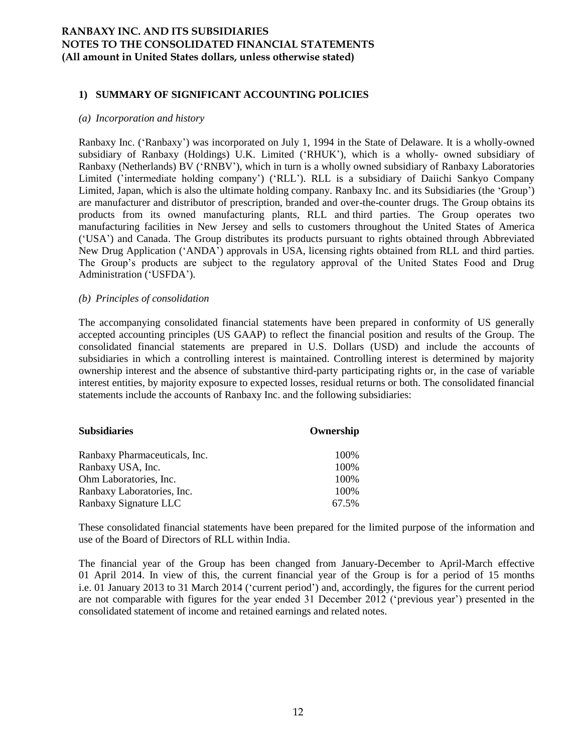# **1) SUMMARY OF SIGNIFICANT ACCOUNTING POLICIES**

#### *(a) Incorporation and history*

Ranbaxy Inc. ("Ranbaxy") was incorporated on July 1, 1994 in the State of Delaware. It is a wholly-owned subsidiary of Ranbaxy (Holdings) U.K. Limited ("RHUK"), which is a wholly- owned subsidiary of Ranbaxy (Netherlands) BV ("RNBV"), which in turn is a wholly owned subsidiary of Ranbaxy Laboratories Limited ("intermediate holding company") ("RLL"). RLL is a subsidiary of Daiichi Sankyo Company Limited, Japan, which is also the ultimate holding company. Ranbaxy Inc. and its Subsidiaries (the "Group") are manufacturer and distributor of prescription, branded and over-the-counter drugs. The Group obtains its products from its owned manufacturing plants, RLL and third parties. The Group operates two manufacturing facilities in New Jersey and sells to customers throughout the United States of America ("USA") and Canada. The Group distributes its products pursuant to rights obtained through Abbreviated New Drug Application ("ANDA") approvals in USA, licensing rights obtained from RLL and third parties. The Group"s products are subject to the regulatory approval of the United States Food and Drug Administration ("USFDA").

#### *(b) Principles of consolidation*

The accompanying consolidated financial statements have been prepared in conformity of US generally accepted accounting principles (US GAAP) to reflect the financial position and results of the Group. The consolidated financial statements are prepared in U.S. Dollars (USD) and include the accounts of subsidiaries in which a controlling interest is maintained. Controlling interest is determined by majority ownership interest and the absence of substantive third-party participating rights or, in the case of variable interest entities, by majority exposure to expected losses, residual returns or both. The consolidated financial statements include the accounts of Ranbaxy Inc. and the following subsidiaries:

| <b>Subsidiaries</b>           | Ownership |
|-------------------------------|-----------|
| Ranbaxy Pharmaceuticals, Inc. | 100%      |
| Ranbaxy USA, Inc.             | 100%      |
| Ohm Laboratories, Inc.        | 100%      |
| Ranbaxy Laboratories, Inc.    | 100%      |
| Ranbaxy Signature LLC         | 67.5%     |

These consolidated financial statements have been prepared for the limited purpose of the information and use of the Board of Directors of RLL within India.

The financial year of the Group has been changed from January-December to April-March effective 01 April 2014. In view of this, the current financial year of the Group is for a period of 15 months i.e. 01 January 2013 to 31 March 2014 ("current period") and, accordingly, the figures for the current period are not comparable with figures for the year ended 31 December 2012 ("previous year") presented in the consolidated statement of income and retained earnings and related notes.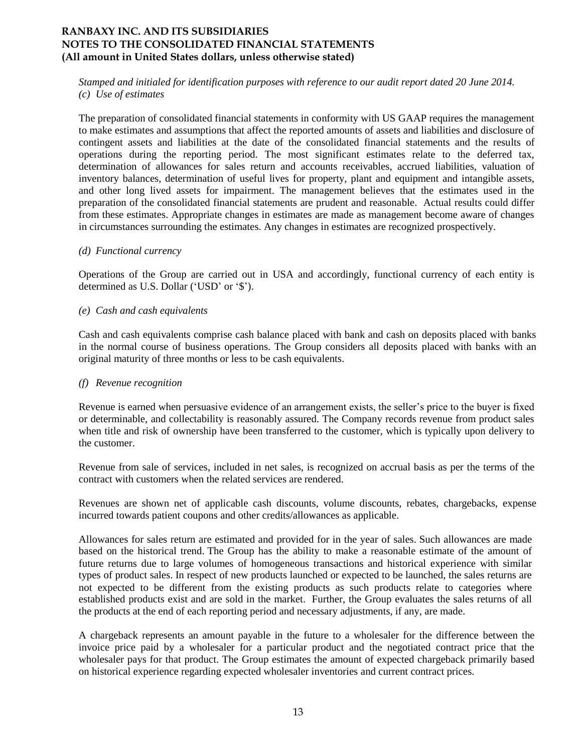*Stamped and initialed for identification purposes with reference to our audit report dated 20 June 2014. (c) Use of estimates*

The preparation of consolidated financial statements in conformity with US GAAP requires the management to make estimates and assumptions that affect the reported amounts of assets and liabilities and disclosure of contingent assets and liabilities at the date of the consolidated financial statements and the results of operations during the reporting period. The most significant estimates relate to the deferred tax, determination of allowances for sales return and accounts receivables, accrued liabilities, valuation of inventory balances, determination of useful lives for property, plant and equipment and intangible assets, and other long lived assets for impairment. The management believes that the estimates used in the preparation of the consolidated financial statements are prudent and reasonable. Actual results could differ from these estimates. Appropriate changes in estimates are made as management become aware of changes in circumstances surrounding the estimates. Any changes in estimates are recognized prospectively.

#### *(d) Functional currency*

Operations of the Group are carried out in USA and accordingly, functional currency of each entity is determined as U.S. Dollar ('USD' or '\$').

### *(e) Cash and cash equivalents*

Cash and cash equivalents comprise cash balance placed with bank and cash on deposits placed with banks in the normal course of business operations. The Group considers all deposits placed with banks with an original maturity of three months or less to be cash equivalents.

#### *(f) Revenue recognition*

Revenue is earned when persuasive evidence of an arrangement exists, the seller"s price to the buyer is fixed or determinable, and collectability is reasonably assured. The Company records revenue from product sales when title and risk of ownership have been transferred to the customer, which is typically upon delivery to the customer.

Revenue from sale of services, included in net sales, is recognized on accrual basis as per the terms of the contract with customers when the related services are rendered.

Revenues are shown net of applicable cash discounts, volume discounts, rebates, chargebacks, expense incurred towards patient coupons and other credits/allowances as applicable.

Allowances for sales return are estimated and provided for in the year of sales. Such allowances are made based on the historical trend. The Group has the ability to make a reasonable estimate of the amount of future returns due to large volumes of homogeneous transactions and historical experience with similar types of product sales. In respect of new products launched or expected to be launched, the sales returns are not expected to be different from the existing products as such products relate to categories where established products exist and are sold in the market. Further, the Group evaluates the sales returns of all the products at the end of each reporting period and necessary adjustments, if any, are made.

A chargeback represents an amount payable in the future to a wholesaler for the difference between the invoice price paid by a wholesaler for a particular product and the negotiated contract price that the wholesaler pays for that product. The Group estimates the amount of expected chargeback primarily based on historical experience regarding expected wholesaler inventories and current contract prices.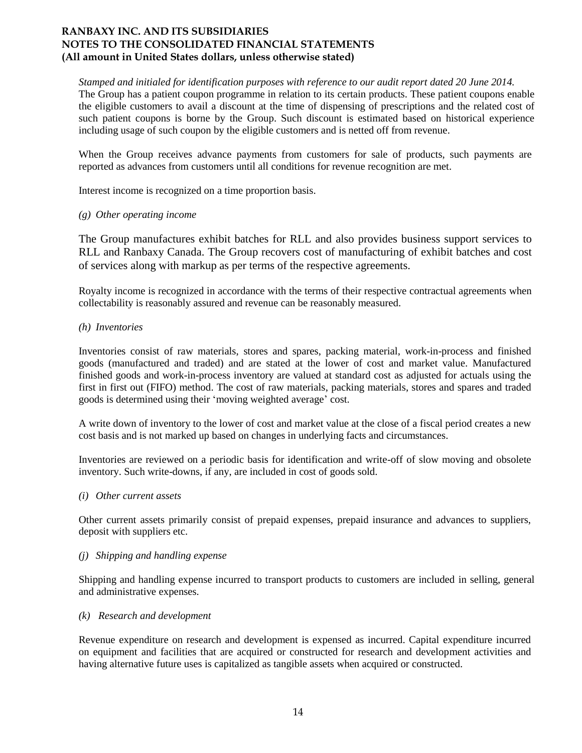#### *Stamped and initialed for identification purposes with reference to our audit report dated 20 June 2014.*

The Group has a patient coupon programme in relation to its certain products. These patient coupons enable the eligible customers to avail a discount at the time of dispensing of prescriptions and the related cost of such patient coupons is borne by the Group. Such discount is estimated based on historical experience including usage of such coupon by the eligible customers and is netted off from revenue.

When the Group receives advance payments from customers for sale of products, such payments are reported as advances from customers until all conditions for revenue recognition are met.

Interest income is recognized on a time proportion basis.

#### *(g) Other operating income*

The Group manufactures exhibit batches for RLL and also provides business support services to RLL and Ranbaxy Canada. The Group recovers cost of manufacturing of exhibit batches and cost of services along with markup as per terms of the respective agreements.

Royalty income is recognized in accordance with the terms of their respective contractual agreements when collectability is reasonably assured and revenue can be reasonably measured.

#### *(h) Inventories*

Inventories consist of raw materials, stores and spares, packing material, work-in-process and finished goods (manufactured and traded) and are stated at the lower of cost and market value. Manufactured finished goods and work-in-process inventory are valued at standard cost as adjusted for actuals using the first in first out (FIFO) method. The cost of raw materials, packing materials, stores and spares and traded goods is determined using their "moving weighted average" cost.

A write down of inventory to the lower of cost and market value at the close of a fiscal period creates a new cost basis and is not marked up based on changes in underlying facts and circumstances.

Inventories are reviewed on a periodic basis for identification and write-off of slow moving and obsolete inventory. Such write-downs, if any, are included in cost of goods sold.

#### *(i) Other current assets*

Other current assets primarily consist of prepaid expenses, prepaid insurance and advances to suppliers, deposit with suppliers etc.

#### *(j) Shipping and handling expense*

Shipping and handling expense incurred to transport products to customers are included in selling, general and administrative expenses.

#### *(k) Research and development*

Revenue expenditure on research and development is expensed as incurred. Capital expenditure incurred on equipment and facilities that are acquired or constructed for research and development activities and having alternative future uses is capitalized as tangible assets when acquired or constructed.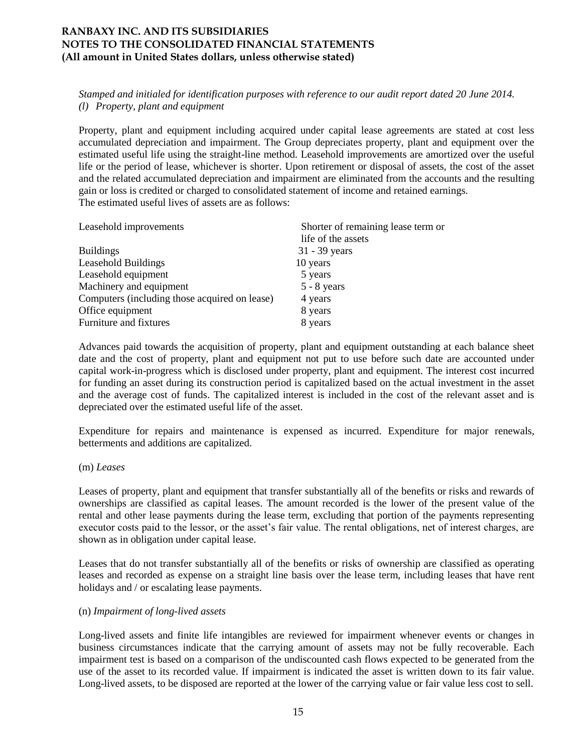# *Stamped and initialed for identification purposes with reference to our audit report dated 20 June 2014. (l) Property, plant and equipment*

Property, plant and equipment including acquired under capital lease agreements are stated at cost less accumulated depreciation and impairment. The Group depreciates property, plant and equipment over the estimated useful life using the straight-line method. Leasehold improvements are amortized over the useful life or the period of lease, whichever is shorter. Upon retirement or disposal of assets, the cost of the asset and the related accumulated depreciation and impairment are eliminated from the accounts and the resulting gain or loss is credited or charged to consolidated statement of income and retained earnings. The estimated useful lives of assets are as follows:

| Leasehold improvements                        | Shorter of remaining lease term or |
|-----------------------------------------------|------------------------------------|
|                                               | life of the assets                 |
| <b>Buildings</b>                              | $31 - 39$ years                    |
| <b>Leasehold Buildings</b>                    | 10 years                           |
| Leasehold equipment                           | 5 years                            |
| Machinery and equipment                       | $5 - 8$ years                      |
| Computers (including those acquired on lease) | 4 years                            |
| Office equipment                              | 8 years                            |
| Furniture and fixtures                        | 8 years                            |

Advances paid towards the acquisition of property, plant and equipment outstanding at each balance sheet date and the cost of property, plant and equipment not put to use before such date are accounted under capital work-in-progress which is disclosed under property, plant and equipment. The interest cost incurred for funding an asset during its construction period is capitalized based on the actual investment in the asset and the average cost of funds. The capitalized interest is included in the cost of the relevant asset and is depreciated over the estimated useful life of the asset.

Expenditure for repairs and maintenance is expensed as incurred. Expenditure for major renewals, betterments and additions are capitalized.

### (m) *Leases*

Leases of property, plant and equipment that transfer substantially all of the benefits or risks and rewards of ownerships are classified as capital leases. The amount recorded is the lower of the present value of the rental and other lease payments during the lease term, excluding that portion of the payments representing executor costs paid to the lessor, or the asset"s fair value. The rental obligations, net of interest charges, are shown as in obligation under capital lease.

Leases that do not transfer substantially all of the benefits or risks of ownership are classified as operating leases and recorded as expense on a straight line basis over the lease term, including leases that have rent holidays and / or escalating lease payments.

### (n) *Impairment of long-lived assets*

Long-lived assets and finite life intangibles are reviewed for impairment whenever events or changes in business circumstances indicate that the carrying amount of assets may not be fully recoverable. Each impairment test is based on a comparison of the undiscounted cash flows expected to be generated from the use of the asset to its recorded value. If impairment is indicated the asset is written down to its fair value. Long-lived assets, to be disposed are reported at the lower of the carrying value or fair value less cost to sell.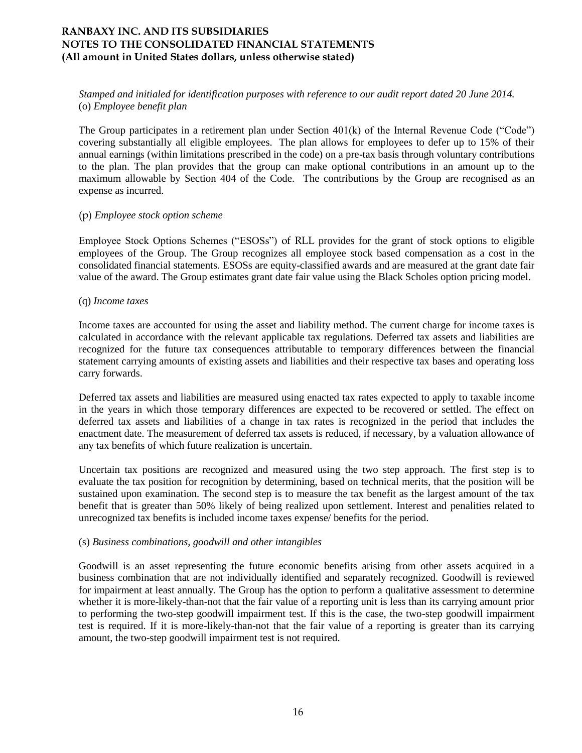*Stamped and initialed for identification purposes with reference to our audit report dated 20 June 2014.* (o) *Employee benefit plan*

The Group participates in a retirement plan under Section 401(k) of the Internal Revenue Code ("Code") covering substantially all eligible employees. The plan allows for employees to defer up to 15% of their annual earnings (within limitations prescribed in the code) on a pre-tax basis through voluntary contributions to the plan. The plan provides that the group can make optional contributions in an amount up to the maximum allowable by Section 404 of the Code. The contributions by the Group are recognised as an expense as incurred.

### (p) *Employee stock option scheme*

Employee Stock Options Schemes ("ESOSs") of RLL provides for the grant of stock options to eligible employees of the Group. The Group recognizes all employee stock based compensation as a cost in the consolidated financial statements. ESOSs are equity-classified awards and are measured at the grant date fair value of the award. The Group estimates grant date fair value using the Black Scholes option pricing model.

#### (q) *Income taxes*

Income taxes are accounted for using the asset and liability method. The current charge for income taxes is calculated in accordance with the relevant applicable tax regulations. Deferred tax assets and liabilities are recognized for the future tax consequences attributable to temporary differences between the financial statement carrying amounts of existing assets and liabilities and their respective tax bases and operating loss carry forwards.

Deferred tax assets and liabilities are measured using enacted tax rates expected to apply to taxable income in the years in which those temporary differences are expected to be recovered or settled. The effect on deferred tax assets and liabilities of a change in tax rates is recognized in the period that includes the enactment date. The measurement of deferred tax assets is reduced, if necessary, by a valuation allowance of any tax benefits of which future realization is uncertain.

Uncertain tax positions are recognized and measured using the two step approach. The first step is to evaluate the tax position for recognition by determining, based on technical merits, that the position will be sustained upon examination. The second step is to measure the tax benefit as the largest amount of the tax benefit that is greater than 50% likely of being realized upon settlement. Interest and penalities related to unrecognized tax benefits is included income taxes expense/ benefits for the period.

### (s) *Business combinations, goodwill and other intangibles*

Goodwill is an asset representing the future economic benefits arising from other assets acquired in a business combination that are not individually identified and separately recognized. Goodwill is reviewed for impairment at least annually. The Group has the option to perform a qualitative assessment to determine whether it is more-likely-than-not that the fair value of a reporting unit is less than its carrying amount prior to performing the two-step goodwill impairment test. If this is the case, the two-step goodwill impairment test is required. If it is more-likely-than-not that the fair value of a reporting is greater than its carrying amount, the two-step goodwill impairment test is not required.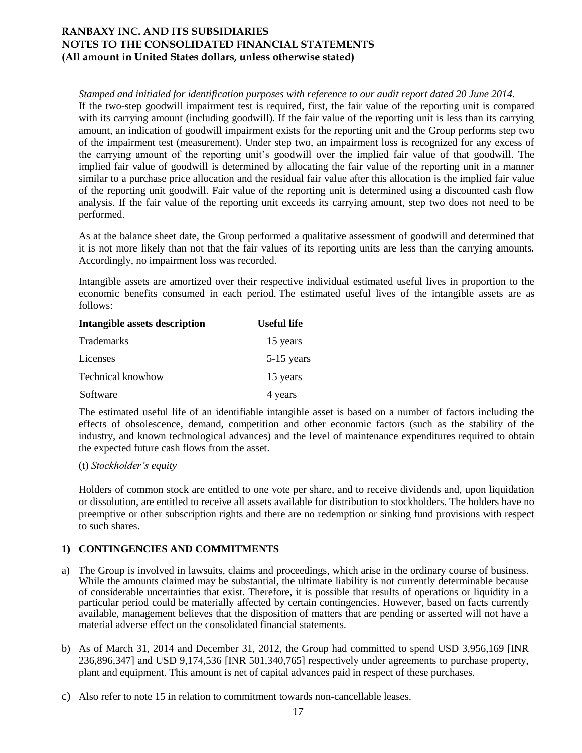#### *Stamped and initialed for identification purposes with reference to our audit report dated 20 June 2014.*

If the two-step goodwill impairment test is required, first, the fair value of the reporting unit is compared with its carrying amount (including goodwill). If the fair value of the reporting unit is less than its carrying amount, an indication of goodwill impairment exists for the reporting unit and the Group performs step two of the impairment test (measurement). Under step two, an impairment loss is recognized for any excess of the carrying amount of the reporting unit's goodwill over the implied fair value of that goodwill. The implied fair value of goodwill is determined by allocating the fair value of the reporting unit in a manner similar to a purchase price allocation and the residual fair value after this allocation is the implied fair value of the reporting unit goodwill. Fair value of the reporting unit is determined using a discounted cash flow analysis. If the fair value of the reporting unit exceeds its carrying amount, step two does not need to be performed.

As at the balance sheet date, the Group performed a qualitative assessment of goodwill and determined that it is not more likely than not that the fair values of its reporting units are less than the carrying amounts. Accordingly, no impairment loss was recorded.

Intangible assets are amortized over their respective individual estimated useful lives in proportion to the economic benefits consumed in each period. The estimated useful lives of the intangible assets are as follows:

| Intangible assets description | <b>Useful life</b> |
|-------------------------------|--------------------|
| <b>Trademarks</b>             | 15 years           |
| Licenses                      | $5-15$ years       |
| Technical knowhow             | 15 years           |
| Software                      | 4 years            |

The estimated useful life of an identifiable intangible asset is based on a number of factors including the effects of obsolescence, demand, competition and other economic factors (such as the stability of the industry, and known technological advances) and the level of maintenance expenditures required to obtain the expected future cash flows from the asset.

### (t) *Stockholder's equity*

Holders of common stock are entitled to one vote per share, and to receive dividends and, upon liquidation or dissolution, are entitled to receive all assets available for distribution to stockholders. The holders have no preemptive or other subscription rights and there are no redemption or sinking fund provisions with respect to such shares.

# **1) CONTINGENCIES AND COMMITMENTS**

- a) The Group is involved in lawsuits, claims and proceedings, which arise in the ordinary course of business. While the amounts claimed may be substantial, the ultimate liability is not currently determinable because of considerable uncertainties that exist. Therefore, it is possible that results of operations or liquidity in a particular period could be materially affected by certain contingencies. However, based on facts currently available, management believes that the disposition of matters that are pending or asserted will not have a material adverse effect on the consolidated financial statements.
- b) As of March 31, 2014 and December 31, 2012, the Group had committed to spend USD 3,956,169 [INR 236,896,347] and USD 9,174,536 [INR 501,340,765] respectively under agreements to purchase property, plant and equipment. This amount is net of capital advances paid in respect of these purchases.
- c) Also refer to note 15 in relation to commitment towards non-cancellable leases.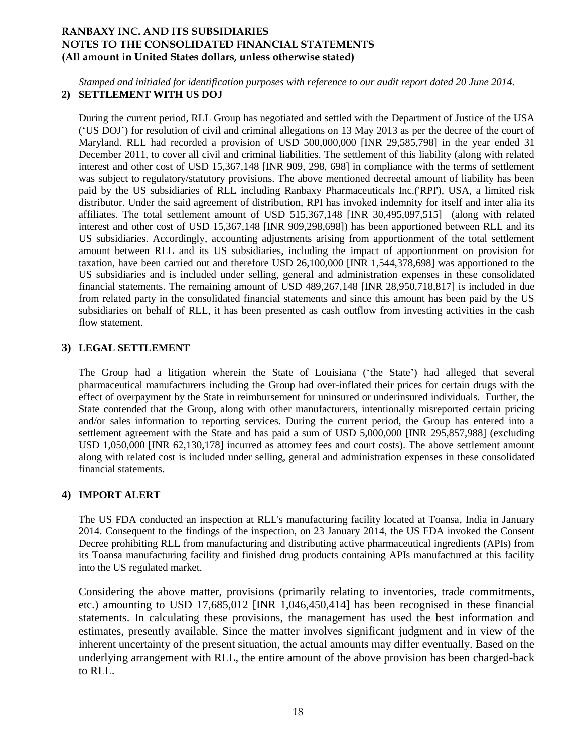*Stamped and initialed for identification purposes with reference to our audit report dated 20 June 2014.* **2) SETTLEMENT WITH US DOJ**

During the current period, RLL Group has negotiated and settled with the Department of Justice of the USA ("US DOJ") for resolution of civil and criminal allegations on 13 May 2013 as per the decree of the court of Maryland. RLL had recorded a provision of USD 500,000,000 [INR 29,585,798] in the year ended 31 December 2011, to cover all civil and criminal liabilities. The settlement of this liability (along with related interest and other cost of USD 15,367,148 [INR 909, 298, 698] in compliance with the terms of settlement was subject to regulatory/statutory provisions. The above mentioned decreetal amount of liability has been paid by the US subsidiaries of RLL including Ranbaxy Pharmaceuticals Inc.('RPI'), USA, a limited risk distributor. Under the said agreement of distribution, RPI has invoked indemnity for itself and inter alia its affiliates. The total settlement amount of USD 515,367,148 [INR 30,495,097,515] (along with related interest and other cost of USD 15,367,148 [INR 909,298,698]) has been apportioned between RLL and its US subsidiaries. Accordingly, accounting adjustments arising from apportionment of the total settlement amount between RLL and its US subsidiaries, including the impact of apportionment on provision for taxation, have been carried out and therefore USD 26,100,000 [INR 1,544,378,698] was apportioned to the US subsidiaries and is included under selling, general and administration expenses in these consolidated financial statements. The remaining amount of USD 489,267,148 [INR 28,950,718,817] is included in due from related party in the consolidated financial statements and since this amount has been paid by the US subsidiaries on behalf of RLL, it has been presented as cash outflow from investing activities in the cash flow statement.

## **3) LEGAL SETTLEMENT**

The Group had a litigation wherein the State of Louisiana ("the State") had alleged that several pharmaceutical manufacturers including the Group had over-inflated their prices for certain drugs with the effect of overpayment by the State in reimbursement for uninsured or underinsured individuals. Further, the State contended that the Group, along with other manufacturers, intentionally misreported certain pricing and/or sales information to reporting services. During the current period, the Group has entered into a settlement agreement with the State and has paid a sum of USD 5,000,000 [INR 295,857,988] (excluding USD 1,050,000 [INR 62,130,178] incurred as attorney fees and court costs). The above settlement amount along with related cost is included under selling, general and administration expenses in these consolidated financial statements.

# **4) IMPORT ALERT**

The US FDA conducted an inspection at RLL's manufacturing facility located at Toansa, India in January 2014. Consequent to the findings of the inspection, on 23 January 2014, the US FDA invoked the Consent Decree prohibiting RLL from manufacturing and distributing active pharmaceutical ingredients (APIs) from its Toansa manufacturing facility and finished drug products containing APIs manufactured at this facility into the US regulated market.

Considering the above matter, provisions (primarily relating to inventories, trade commitments, etc.) amounting to USD 17,685,012 [INR 1,046,450,414] has been recognised in these financial statements. In calculating these provisions, the management has used the best information and estimates, presently available. Since the matter involves significant judgment and in view of the inherent uncertainty of the present situation, the actual amounts may differ eventually. Based on the underlying arrangement with RLL, the entire amount of the above provision has been charged-back to RLL.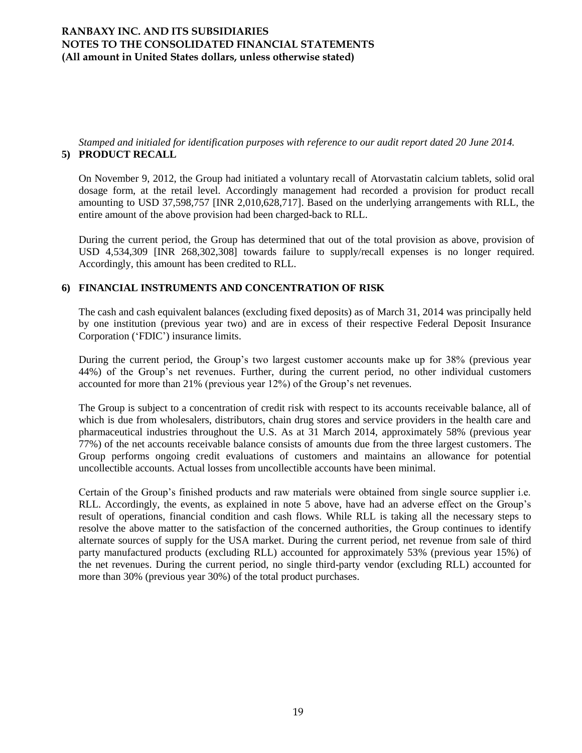*Stamped and initialed for identification purposes with reference to our audit report dated 20 June 2014.* **5) PRODUCT RECALL** 

On November 9, 2012, the Group had initiated a voluntary recall of Atorvastatin calcium tablets, solid oral dosage form, at the retail level. Accordingly management had recorded a provision for product recall amounting to USD 37,598,757 [INR 2,010,628,717]. Based on the underlying arrangements with RLL, the entire amount of the above provision had been charged-back to RLL.

During the current period, the Group has determined that out of the total provision as above, provision of USD 4,534,309 [INR 268,302,308] towards failure to supply/recall expenses is no longer required. Accordingly, this amount has been credited to RLL.

### **6) FINANCIAL INSTRUMENTS AND CONCENTRATION OF RISK**

The cash and cash equivalent balances (excluding fixed deposits) as of March 31, 2014 was principally held by one institution (previous year two) and are in excess of their respective Federal Deposit Insurance Corporation ("FDIC") insurance limits.

During the current period, the Group"s two largest customer accounts make up for 38% (previous year 44%) of the Group"s net revenues. Further, during the current period, no other individual customers accounted for more than 21% (previous year 12%) of the Group"s net revenues.

The Group is subject to a concentration of credit risk with respect to its accounts receivable balance, all of which is due from wholesalers, distributors, chain drug stores and service providers in the health care and pharmaceutical industries throughout the U.S. As at 31 March 2014, approximately 58% (previous year 77%) of the net accounts receivable balance consists of amounts due from the three largest customers. The Group performs ongoing credit evaluations of customers and maintains an allowance for potential uncollectible accounts. Actual losses from uncollectible accounts have been minimal.

Certain of the Group"s finished products and raw materials were obtained from single source supplier i.e. RLL. Accordingly, the events, as explained in note 5 above, have had an adverse effect on the Group"s result of operations, financial condition and cash flows. While RLL is taking all the necessary steps to resolve the above matter to the satisfaction of the concerned authorities, the Group continues to identify alternate sources of supply for the USA market. During the current period, net revenue from sale of third party manufactured products (excluding RLL) accounted for approximately 53% (previous year 15%) of the net revenues. During the current period, no single third-party vendor (excluding RLL) accounted for more than 30% (previous year 30%) of the total product purchases.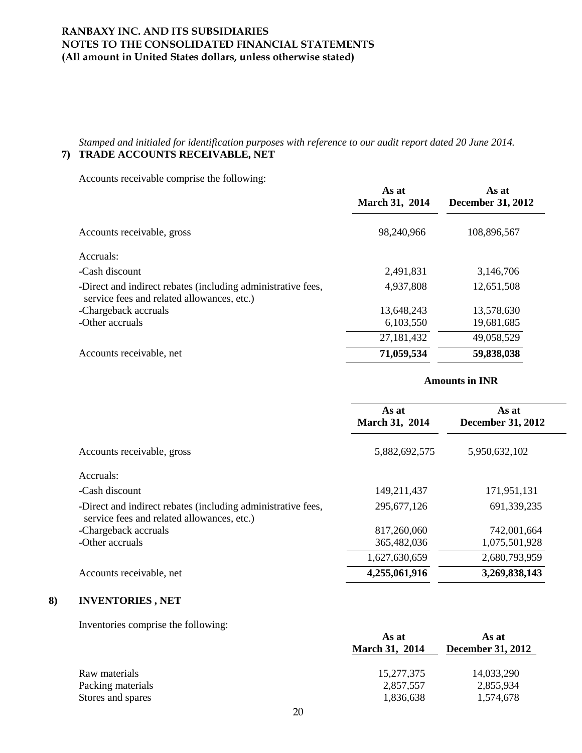*Stamped and initialed for identification purposes with reference to our audit report dated 20 June 2014.* **7) TRADE ACCOUNTS RECEIVABLE, NET**

Accounts receivable comprise the following:

|                                                                                                            | As at<br>March 31, 2014 | As at<br><b>December 31, 2012</b> |
|------------------------------------------------------------------------------------------------------------|-------------------------|-----------------------------------|
| Accounts receivable, gross                                                                                 | 98,240,966              | 108,896,567                       |
| Accruals:                                                                                                  |                         |                                   |
| -Cash discount                                                                                             | 2,491,831               | 3,146,706                         |
| -Direct and indirect rebates (including administrative fees,<br>service fees and related allowances, etc.) | 4,937,808               | 12,651,508                        |
| -Chargeback accruals                                                                                       | 13,648,243              | 13,578,630                        |
| -Other accruals                                                                                            | 6,103,550               | 19,681,685                        |
|                                                                                                            | 27,181,432              | 49,058,529                        |
| Accounts receivable, net                                                                                   | 71,059,534              | 59,838,038                        |

#### **Amounts in INR**

|                                                                                                            | As at<br>March 31, 2014 | As at<br><b>December 31, 2012</b> |
|------------------------------------------------------------------------------------------------------------|-------------------------|-----------------------------------|
| Accounts receivable, gross                                                                                 | 5,882,692,575           | 5,950,632,102                     |
| Accruals:                                                                                                  |                         |                                   |
| -Cash discount                                                                                             | 149,211,437             | 171,951,131                       |
| -Direct and indirect rebates (including administrative fees,<br>service fees and related allowances, etc.) | 295,677,126             | 691,339,235                       |
| -Chargeback accruals                                                                                       | 817,260,060             | 742,001,664                       |
| -Other accruals                                                                                            | 365,482,036             | 1,075,501,928                     |
|                                                                                                            | 1,627,630,659           | 2,680,793,959                     |
| Accounts receivable, net                                                                                   | 4,255,061,916           | 3,269,838,143                     |

#### **8) INVENTORIES , NET**

Inventories comprise the following:

| As at<br>March 31, 2014 | As at<br><b>December 31, 2012</b> |
|-------------------------|-----------------------------------|
| 15,277,375              | 14,033,290                        |
| 2,857,557               | 2,855,934                         |
| 1,836,638               | 1,574,678                         |
|                         |                                   |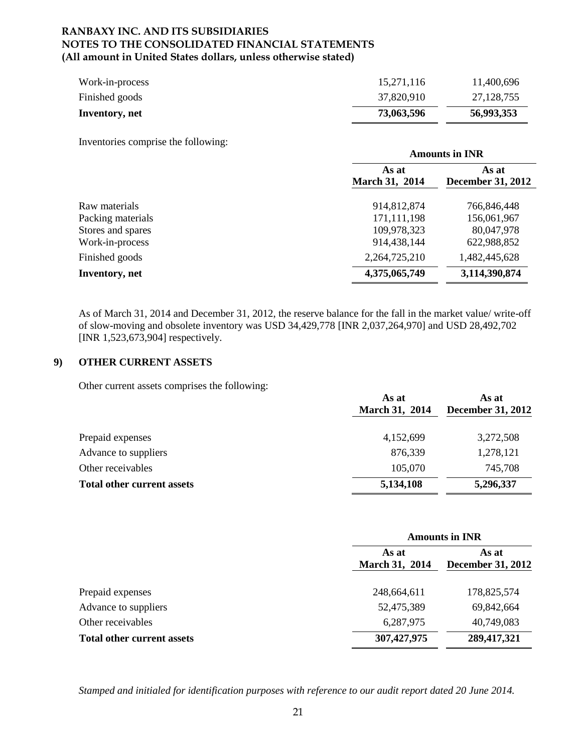| Work-in-process | 15.271.116 | 11,400,696   |
|-----------------|------------|--------------|
| Finished goods  | 37,820,910 | 27, 128, 755 |
| Inventory, net  | 73,063,596 | 56,993,353   |

Inventories comprise the following:

| m chronics comprise the rond wing.   |                            | <b>Amounts in INR</b>             |  |
|--------------------------------------|----------------------------|-----------------------------------|--|
|                                      | As at<br>March 31, 2014    | As at<br><b>December 31, 2012</b> |  |
| Raw materials<br>Packing materials   | 914,812,874<br>171,111,198 | 766,846,448<br>156,061,967        |  |
| Stores and spares<br>Work-in-process | 109,978,323<br>914,438,144 | 80,047,978<br>622,988,852         |  |
| Finished goods                       | 2,264,725,210              | 1,482,445,628                     |  |
| <b>Inventory</b> , net               | 4,375,065,749              | 3,114,390,874                     |  |

As of March 31, 2014 and December 31, 2012, the reserve balance for the fall in the market value/ write-off of slow-moving and obsolete inventory was USD 34,429,778 [INR 2,037,264,970] and USD 28,492,702 [INR 1,523,673,904] respectively.

# **9) OTHER CURRENT ASSETS**

Other current assets comprises the following:

|                                   | As at<br>March 31, 2014 | As at<br><b>December 31, 2012</b> |
|-----------------------------------|-------------------------|-----------------------------------|
| Prepaid expenses                  | 4,152,699               | 3,272,508                         |
| Advance to suppliers              | 876,339                 | 1,278,121                         |
| Other receivables                 | 105,070                 | 745,708                           |
| <b>Total other current assets</b> | 5,134,108               | 5,296,337                         |

|                                   | <b>Amounts in INR</b>   |                                   |  |
|-----------------------------------|-------------------------|-----------------------------------|--|
|                                   | As at<br>March 31, 2014 | As at<br><b>December 31, 2012</b> |  |
| Prepaid expenses                  | 248,664,611             | 178,825,574                       |  |
| Advance to suppliers              | 52,475,389              | 69,842,664                        |  |
| Other receivables                 | 6,287,975               | 40,749,083                        |  |
| <b>Total other current assets</b> | 307,427,975             | 289,417,321                       |  |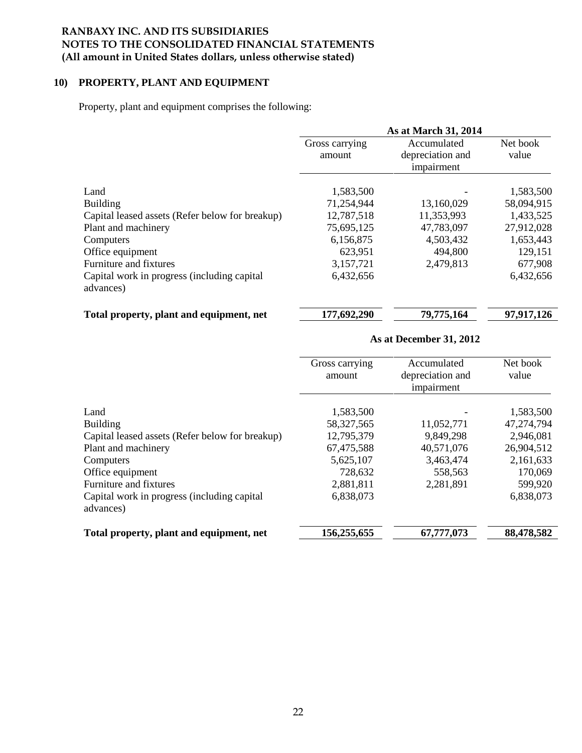# **10) PROPERTY, PLANT AND EQUIPMENT**

Property, plant and equipment comprises the following:

|                                                          | As at March 31, 2014     |                                               |                   |
|----------------------------------------------------------|--------------------------|-----------------------------------------------|-------------------|
|                                                          | Gross carrying<br>amount | Accumulated<br>depreciation and<br>impairment | Net book<br>value |
| Land                                                     | 1,583,500                |                                               | 1,583,500         |
| <b>Building</b>                                          | 71,254,944               | 13,160,029                                    | 58,094,915        |
| Capital leased assets (Refer below for breakup)          | 12,787,518               | 11,353,993                                    | 1,433,525         |
| Plant and machinery                                      | 75,695,125               | 47,783,097                                    | 27,912,028        |
| Computers                                                | 6,156,875                | 4,503,432                                     | 1,653,443         |
| Office equipment                                         | 623,951                  | 494,800                                       | 129,151           |
| Furniture and fixtures                                   | 3,157,721                | 2,479,813                                     | 677,908           |
| Capital work in progress (including capital<br>advances) | 6,432,656                |                                               | 6,432,656         |
| Total property, plant and equipment, net                 | 177,692,290              | 79,775,164                                    | 97,917,126        |

# **As at December 31, 2012**

|                                                          | Gross carrying<br>amount | Accumulated<br>depreciation and<br>impairment | Net book<br>value |
|----------------------------------------------------------|--------------------------|-----------------------------------------------|-------------------|
| Land                                                     | 1,583,500                |                                               | 1,583,500         |
| <b>Building</b>                                          | 58,327,565               | 11,052,771                                    | 47,274,794        |
| Capital leased assets (Refer below for breakup)          | 12,795,379               | 9,849,298                                     | 2,946,081         |
| Plant and machinery                                      | 67,475,588               | 40,571,076                                    | 26,904,512        |
| Computers                                                | 5,625,107                | 3,463,474                                     | 2,161,633         |
| Office equipment                                         | 728,632                  | 558,563                                       | 170,069           |
| Furniture and fixtures                                   | 2,881,811                | 2,281,891                                     | 599,920           |
| Capital work in progress (including capital<br>advances) | 6,838,073                |                                               | 6,838,073         |
| Total property, plant and equipment, net                 | 156,255,655              | 67,777,073                                    | 88,478,582        |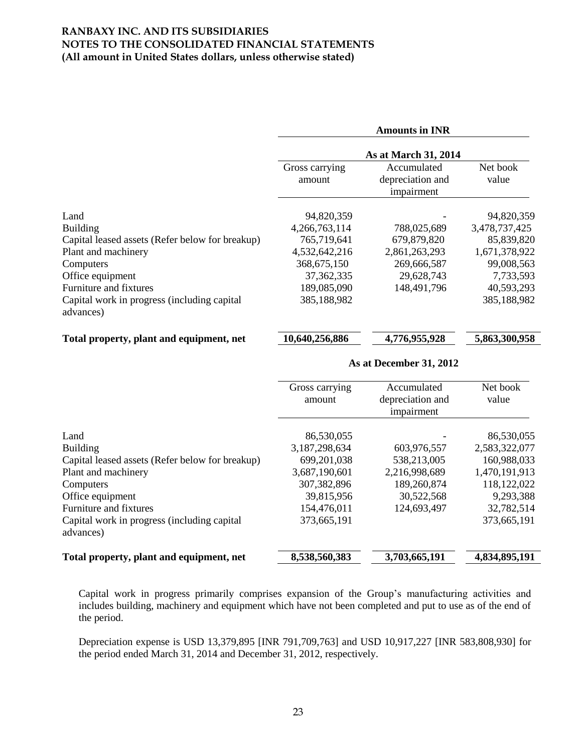|                                                          |                          | <b>Amounts in INR</b>                         |                   |
|----------------------------------------------------------|--------------------------|-----------------------------------------------|-------------------|
|                                                          |                          | As at March 31, 2014                          |                   |
|                                                          | Gross carrying           | Accumulated                                   | Net book          |
|                                                          | amount                   | depreciation and<br>impairment                | value             |
| Land                                                     | 94,820,359               |                                               | 94,820,359        |
| <b>Building</b>                                          | 4,266,763,114            | 788,025,689                                   | 3,478,737,425     |
| Capital leased assets (Refer below for breakup)          | 765,719,641              | 679,879,820                                   | 85,839,820        |
| Plant and machinery                                      | 4,532,642,216            | 2,861,263,293                                 | 1,671,378,922     |
| Computers                                                | 368,675,150              | 269,666,587                                   | 99,008,563        |
| Office equipment                                         | 37, 362, 335             | 29,628,743                                    | 7,733,593         |
| Furniture and fixtures                                   | 189,085,090              | 148,491,796                                   | 40,593,293        |
| Capital work in progress (including capital<br>advances) | 385,188,982              |                                               | 385,188,982       |
| Total property, plant and equipment, net                 | 10,640,256,886           | 4,776,955,928                                 | 5,863,300,958     |
|                                                          | As at December 31, 2012  |                                               |                   |
|                                                          | Gross carrying<br>amount | Accumulated<br>depreciation and<br>impairment | Net book<br>value |
| Land                                                     | 86,530,055               |                                               | 86,530,055        |
| <b>Building</b>                                          | 3,187,298,634            | 603,976,557                                   | 2,583,322,077     |
| Capital leased assets (Refer below for breakup)          | 699,201,038              | 538,213,005                                   | 160,988,033       |
| Plant and machinery                                      | 3,687,190,601            | 2,216,998,689                                 | 1,470,191,913     |
| Computers                                                | 307,382,896              | 189,260,874                                   | 118,122,022       |
| Office equipment                                         | 39,815,956               | 30,522,568                                    | 9,293,388         |
| Furniture and fixtures                                   | 154,476,011              | 124,693,497                                   | 32,782,514        |
| Capital work in progress (including capital<br>advances) | 373,665,191              |                                               | 373,665,191       |
| Total property, plant and equipment, net                 | 8,538,560,383            | 3,703,665,191                                 | 4,834,895,191     |

Capital work in progress primarily comprises expansion of the Group"s manufacturing activities and includes building, machinery and equipment which have not been completed and put to use as of the end of the period.

Depreciation expense is USD 13,379,895 [INR 791,709,763] and USD 10,917,227 [INR 583,808,930] for the period ended March 31, 2014 and December 31, 2012, respectively.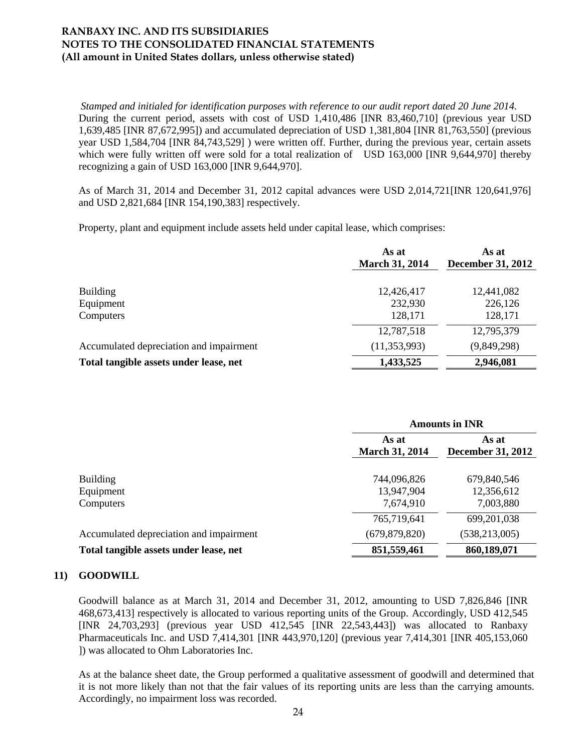*Stamped and initialed for identification purposes with reference to our audit report dated 20 June 2014.* During the current period, assets with cost of USD 1,410,486 [INR 83,460,710] (previous year USD 1,639,485 [INR 87,672,995]) and accumulated depreciation of USD 1,381,804 [INR 81,763,550] (previous year USD 1,584,704 [INR 84,743,529] ) were written off. Further, during the previous year, certain assets which were fully written off were sold for a total realization of USD 163,000 [INR 9,644,970] thereby recognizing a gain of USD 163,000 [INR 9,644,970].

As of March 31, 2014 and December 31, 2012 capital advances were USD 2,014,721[INR 120,641,976] and USD 2,821,684 [INR 154,190,383] respectively.

Property, plant and equipment include assets held under capital lease, which comprises:

|                                         | As at<br><b>March 31, 2014</b> | As at<br><b>December 31, 2012</b> |
|-----------------------------------------|--------------------------------|-----------------------------------|
| <b>Building</b>                         | 12,426,417                     | 12,441,082                        |
| Equipment                               | 232,930                        | 226,126                           |
| Computers                               | 128,171<br>12,787,518          | 128,171<br>12,795,379             |
| Accumulated depreciation and impairment | (11, 353, 993)                 | (9,849,298)                       |
| Total tangible assets under lease, net  | 1,433,525                      | 2,946,081                         |

|                                         | <b>Amounts in INR</b>          |                                   |
|-----------------------------------------|--------------------------------|-----------------------------------|
|                                         | As at<br><b>March 31, 2014</b> | As at<br><b>December 31, 2012</b> |
| <b>Building</b><br>Equipment            | 744,096,826<br>13,947,904      | 679,840,546<br>12,356,612         |
| Computers                               | 7,674,910                      | 7,003,880                         |
|                                         | 765,719,641                    | 699,201,038                       |
| Accumulated depreciation and impairment | (679, 879, 820)                | (538, 213, 005)                   |
| Total tangible assets under lease, net  | 851,559,461                    | 860,189,071                       |

### **11) GOODWILL**

Goodwill balance as at March 31, 2014 and December 31, 2012, amounting to USD 7,826,846 [INR 468,673,413] respectively is allocated to various reporting units of the Group. Accordingly, USD 412,545 [INR 24,703,293] (previous year USD 412,545 [INR 22,543,443]) was allocated to Ranbaxy Pharmaceuticals Inc. and USD 7,414,301 [INR 443,970,120] (previous year 7,414,301 [INR 405,153,060 ]) was allocated to Ohm Laboratories Inc.

As at the balance sheet date, the Group performed a qualitative assessment of goodwill and determined that it is not more likely than not that the fair values of its reporting units are less than the carrying amounts. Accordingly, no impairment loss was recorded.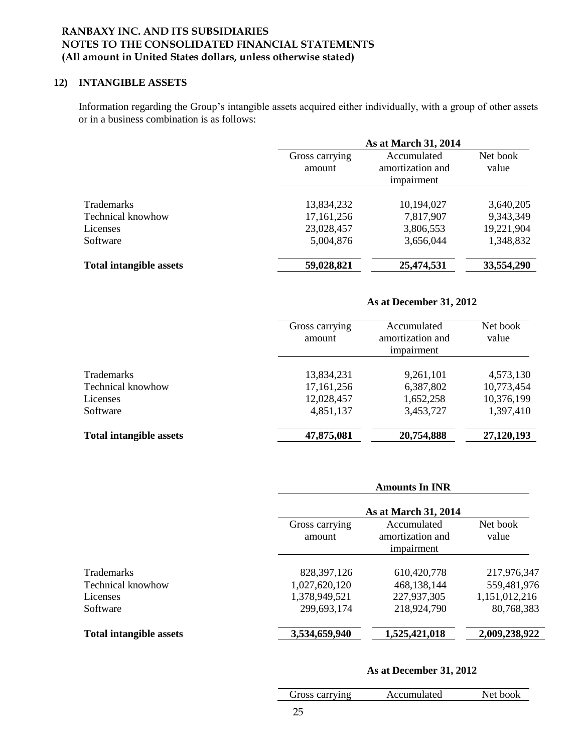#### **12) INTANGIBLE ASSETS**

Information regarding the Group's intangible assets acquired either individually, with a group of other assets or in a business combination is as follows:

|                                |                          | As at March 31, 2014                          |                   |  |
|--------------------------------|--------------------------|-----------------------------------------------|-------------------|--|
|                                | Gross carrying<br>amount | Accumulated<br>amortization and<br>impairment | Net book<br>value |  |
| <b>Trademarks</b>              | 13,834,232               | 10,194,027                                    | 3,640,205         |  |
| <b>Technical knowhow</b>       | 17, 161, 256             | 7,817,907                                     | 9,343,349         |  |
| Licenses                       | 23,028,457               | 3,806,553                                     | 19,221,904        |  |
| Software                       | 5,004,876                | 3,656,044                                     | 1,348,832         |  |
| <b>Total intangible assets</b> | 59,028,821               | 25,474,531                                    | 33,554,290        |  |

#### **As at December 31, 2012**

|                                | Gross carrying<br>amount | Accumulated<br>amortization and<br>impairment | Net book<br>value |
|--------------------------------|--------------------------|-----------------------------------------------|-------------------|
| <b>Trademarks</b>              | 13,834,231               | 9,261,101                                     | 4,573,130         |
| <b>Technical knowhow</b>       | 17,161,256               | 6,387,802                                     | 10,773,454        |
| Licenses                       | 12,028,457               | 1,652,258                                     | 10,376,199        |
| Software                       | 4,851,137                | 3,453,727                                     | 1,397,410         |
| <b>Total intangible assets</b> | 47,875,081               | 20,754,888                                    | 27,120,193        |

| Amounts In INR |  |  |  |
|----------------|--|--|--|
|----------------|--|--|--|

|                                | As at March 31, 2014     |                                               |                   |
|--------------------------------|--------------------------|-----------------------------------------------|-------------------|
|                                | Gross carrying<br>amount | Accumulated<br>amortization and<br>impairment | Net book<br>value |
| <b>Trademarks</b>              | 828, 397, 126            | 610,420,778                                   | 217,976,347       |
| <b>Technical knowhow</b>       | 1,027,620,120            | 468,138,144                                   | 559,481,976       |
| Licenses                       | 1,378,949,521            | 227,937,305                                   | 1,151,012,216     |
| Software                       | 299,693,174              | 218,924,790                                   | 80,768,383        |
| <b>Total intangible assets</b> | 3,534,659,940            | 1,525,421,018                                 | 2,009,238,922     |

#### **As at December 31, 2012**

| Gross carrying | Accumulated | Net book |
|----------------|-------------|----------|
|                |             |          |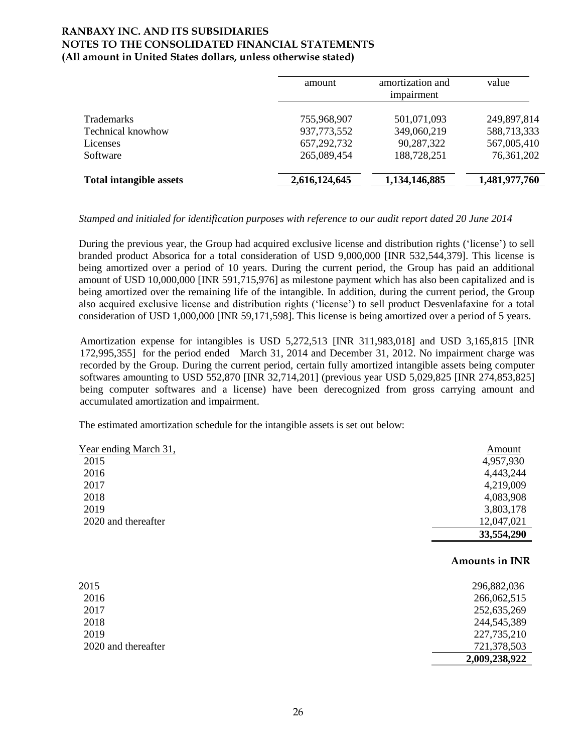|                                | amount        | amortization and<br>impairment | value         |
|--------------------------------|---------------|--------------------------------|---------------|
| <b>Trademarks</b>              | 755,968,907   | 501,071,093                    | 249,897,814   |
| <b>Technical knowhow</b>       | 937,773,552   | 349,060,219                    | 588,713,333   |
| Licenses                       | 657,292,732   | 90,287,322                     | 567,005,410   |
| Software                       | 265,089,454   | 188,728,251                    | 76, 361, 202  |
| <b>Total intangible assets</b> | 2,616,124,645 | 1,134,146,885                  | 1,481,977,760 |

#### *Stamped and initialed for identification purposes with reference to our audit report dated 20 June 2014*

During the previous year, the Group had acquired exclusive license and distribution rights ("license") to sell branded product Absorica for a total consideration of USD 9,000,000 [INR 532,544,379]. This license is being amortized over a period of 10 years. During the current period, the Group has paid an additional amount of USD 10,000,000 [INR 591,715,976] as milestone payment which has also been capitalized and is being amortized over the remaining life of the intangible. In addition, during the current period, the Group also acquired exclusive license and distribution rights ("license") to sell product Desvenlafaxine for a total consideration of USD 1,000,000 [INR 59,171,598]. This license is being amortized over a period of 5 years.

Amortization expense for intangibles is USD 5,272,513 [INR 311,983,018] and USD 3,165,815 [INR 172,995,355] for the period ended March 31, 2014 and December 31, 2012. No impairment charge was recorded by the Group. During the current period, certain fully amortized intangible assets being computer softwares amounting to USD 552,870 [INR 32,714,201] (previous year USD 5,029,825 [INR 274,853,825] being computer softwares and a license) have been derecognized from gross carrying amount and accumulated amortization and impairment.

The estimated amortization schedule for the intangible assets is set out below:

|                       | <b>Amounts in INR</b> |
|-----------------------|-----------------------|
|                       | 33,554,290            |
| 2020 and thereafter   | 12,047,021            |
| 2019                  | 3,803,178             |
| 2018                  | 4,083,908             |
| 2017                  | 4,219,009             |
| 2016                  | 4,443,244             |
| 2015                  | 4,957,930             |
| Year ending March 31, | Amount                |

| 2015                | 296,882,036   |
|---------------------|---------------|
| 2016                | 266,062,515   |
| 2017                | 252,635,269   |
| 2018                | 244,545,389   |
| 2019                | 227,735,210   |
| 2020 and thereafter | 721,378,503   |
|                     | 2,009,238,922 |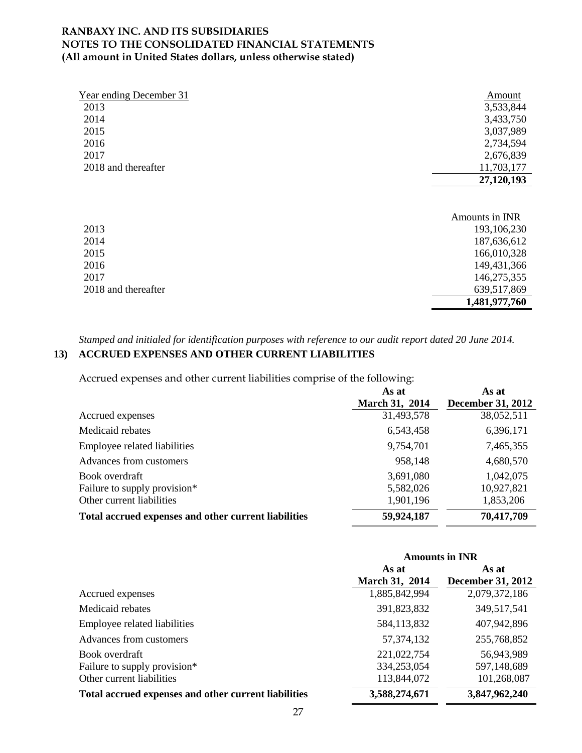| <b>Year ending December 31</b> | Amount     |
|--------------------------------|------------|
| 2013                           | 3,533,844  |
| 2014                           | 3,433,750  |
| 2015                           | 3,037,989  |
| 2016                           | 2,734,594  |
| 2017                           | 2,676,839  |
| 2018 and thereafter            | 11,703,177 |
|                                | 27,120,193 |
|                                |            |

|                     | Amounts in INR |
|---------------------|----------------|
| 2013                | 193, 106, 230  |
| 2014                | 187,636,612    |
| 2015                | 166,010,328    |
| 2016                | 149,431,366    |
| 2017                | 146,275,355    |
| 2018 and thereafter | 639,517,869    |
|                     | 1,481,977,760  |

*Stamped and initialed for identification purposes with reference to our audit report dated 20 June 2014.*

# **13) ACCRUED EXPENSES AND OTHER CURRENT LIABILITIES**

Accrued expenses and other current liabilities comprise of the following:

|                                                      | As at          | As at                    |
|------------------------------------------------------|----------------|--------------------------|
|                                                      | March 31, 2014 | <b>December 31, 2012</b> |
| Accrued expenses                                     | 31,493,578     | 38,052,511               |
| Medicaid rebates                                     | 6,543,458      | 6,396,171                |
| Employee related liabilities                         | 9,754,701      | 7,465,355                |
| Advances from customers                              | 958,148        | 4,680,570                |
| Book overdraft                                       | 3,691,080      | 1,042,075                |
| Failure to supply provision*                         | 5,582,026      | 10,927,821               |
| Other current liabilities                            | 1,901,196      | 1,853,206                |
| Total accrued expenses and other current liabilities | 59,924,187     | 70,417,709               |

|                                                      | <b>Amounts in INR</b> |                          |
|------------------------------------------------------|-----------------------|--------------------------|
|                                                      | As at                 | As at                    |
|                                                      | March 31, 2014        | <b>December 31, 2012</b> |
| Accrued expenses                                     | 1,885,842,994         | 2,079,372,186            |
| Medicaid rebates                                     | 391,823,832           | 349,517,541              |
| Employee related liabilities                         | 584,113,832           | 407,942,896              |
| Advances from customers                              | 57, 374, 132          | 255,768,852              |
| Book overdraft                                       | 221,022,754           | 56,943,989               |
| Failure to supply provision*                         | 334,253,054           | 597,148,689              |
| Other current liabilities                            | 113,844,072           | 101,268,087              |
| Total accrued expenses and other current liabilities | 3,588,274,671         | 3,847,962,240            |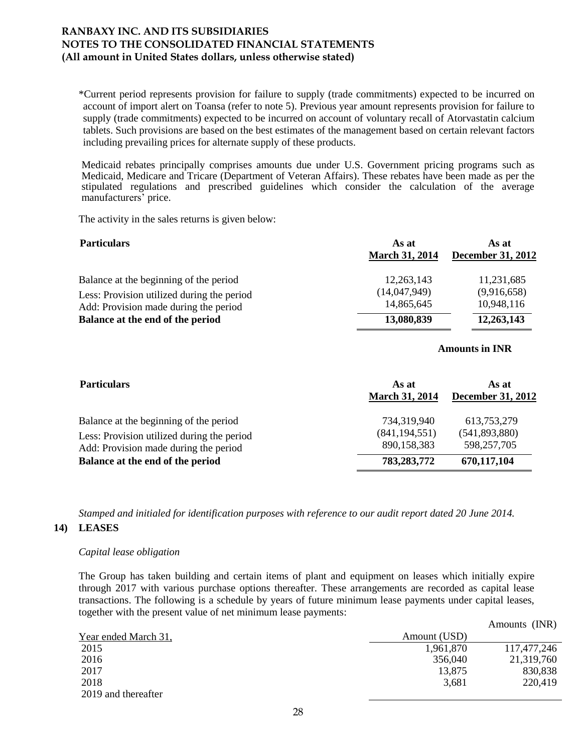\*Current period represents provision for failure to supply (trade commitments) expected to be incurred on account of import alert on Toansa (refer to note 5). Previous year amount represents provision for failure to supply (trade commitments) expected to be incurred on account of voluntary recall of Atorvastatin calcium tablets. Such provisions are based on the best estimates of the management based on certain relevant factors including prevailing prices for alternate supply of these products.

Medicaid rebates principally comprises amounts due under U.S. Government pricing programs such as Medicaid, Medicare and Tricare (Department of Veteran Affairs). These rebates have been made as per the stipulated regulations and prescribed guidelines which consider the calculation of the average manufacturers" price.

The activity in the sales returns is given below:

| <b>Particulars</b>                         | As at<br><b>March 31, 2014</b> | As at<br><b>December 31, 2012</b> |
|--------------------------------------------|--------------------------------|-----------------------------------|
| Balance at the beginning of the period     | 12,263,143                     | 11,231,685                        |
| Less: Provision utilized during the period | (14,047,949)                   | (9,916,658)                       |
| Add: Provision made during the period      | 14,865,645                     | 10,948,116                        |
| Balance at the end of the period           | 13,080,839                     | 12,263,143                        |

#### **Amounts in INR**

Amounts (INR)

| As at<br><b>March 31, 2014</b> | As at<br><b>December 31, 2012</b> |
|--------------------------------|-----------------------------------|
| 734,319,940                    | 613,753,279                       |
| (841, 194, 551)                | (541,893,880)                     |
| 890,158,383                    | 598,257,705                       |
| 783,283,772                    | 670,117,104                       |
|                                |                                   |

*Stamped and initialed for identification purposes with reference to our audit report dated 20 June 2014.*

# **14) LEASES**

### *Capital lease obligation*

The Group has taken building and certain items of plant and equipment on leases which initially expire through 2017 with various purchase options thereafter. These arrangements are recorded as capital lease transactions. The following is a schedule by years of future minimum lease payments under capital leases, together with the present value of net minimum lease payments:

|                      |              | $\frac{1}{2}$ |
|----------------------|--------------|---------------|
| Year ended March 31, | Amount (USD) |               |
| 2015                 | 1,961,870    | 117,477,246   |
| 2016                 | 356,040      | 21,319,760    |
| 2017                 | 13,875       | 830,838       |
| 2018                 | 3.681        | 220,419       |
| 2019 and thereafter  |              |               |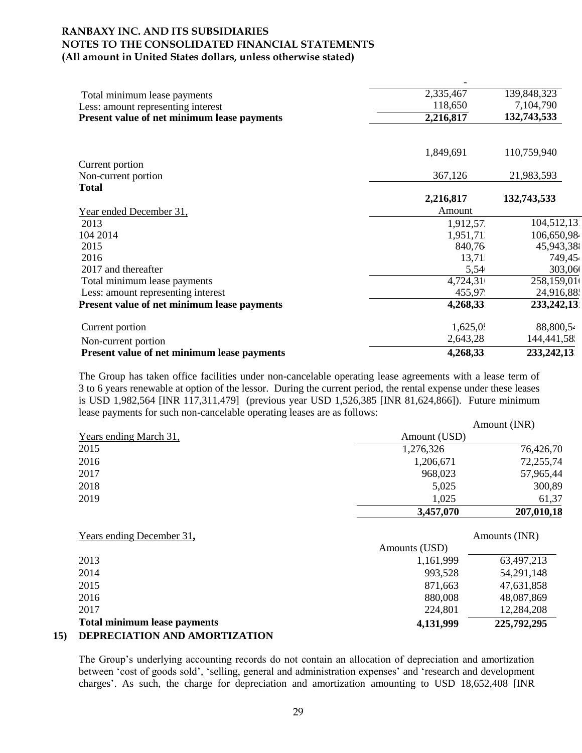| Total minimum lease payments                       | 2,335,467 | 139,848,323   |
|----------------------------------------------------|-----------|---------------|
| Less: amount representing interest                 | 118,650   | 7,104,790     |
| Present value of net minimum lease payments        | 2,216,817 | 132,743,533   |
|                                                    |           |               |
|                                                    | 1,849,691 | 110,759,940   |
| Current portion                                    |           |               |
| Non-current portion                                | 367,126   | 21,983,593    |
| <b>Total</b>                                       |           |               |
|                                                    | 2,216,817 | 132,743,533   |
| Year ended December 31,                            | Amount    |               |
| 2013                                               | 1,912,57  | 104,512,13    |
| 104 2014                                           | 1,951,71  | 106,650,98    |
| 2015                                               | 840,76    | 45,943,38     |
| 2016                                               | 13,71.    | 749,45        |
| 2017 and thereafter                                | 5,54      | 303,060       |
| Total minimum lease payments                       | 4,724,31  | 258,159,01    |
| Less: amount representing interest                 | 455,97    | 24,916,88.    |
| Present value of net minimum lease payments        | 4,268,33  | 233, 242, 13  |
| Current portion                                    | 1,625,0;  | 88,800,54     |
| Non-current portion                                | 2,643,28  | 144, 441, 58. |
| <b>Present value of net minimum lease payments</b> | 4,268,33  | 233,242,13    |

The Group has taken office facilities under non-cancelable operating lease agreements with a lease term of 3 to 6 years renewable at option of the lessor. During the current period, the rental expense under these leases is USD 1,982,564 [INR 117,311,479] (previous year USD 1,526,385 [INR 81,624,866]). Future minimum lease payments for such non-cancelable operating leases are as follows:  $\mathbf{A}$ 

|                        |              | Amount (INR) |
|------------------------|--------------|--------------|
| Years ending March 31, | Amount (USD) |              |
| 2015                   | 1,276,326    | 76,426,70    |
| 2016                   | 1,206,671    | 72,255,74    |
| 2017                   | 968,023      | 57,965,44    |
| 2018                   | 5,025        | 300,89       |
| 2019                   | 1,025        | 61,37        |
|                        | 3,457,070    | 207,010,18   |

| Years ending December 31,            |               | Amounts (INR) |
|--------------------------------------|---------------|---------------|
|                                      | Amounts (USD) |               |
| 2013                                 | 1,161,999     | 63,497,213    |
| 2014                                 | 993,528       | 54, 291, 148  |
| 2015                                 | 871,663       | 47,631,858    |
| 2016                                 | 880,008       | 48,087,869    |
| 2017                                 | 224,801       | 12,284,208    |
| <b>Total minimum lease payments</b>  | 4,131,999     | 225,792,295   |
| DEPRECIATION AND AMORTIZATION<br>15) |               |               |

The Group's underlying accounting records do not contain an allocation of depreciation and amortization between 'cost of goods sold', 'selling, general and administration expenses' and 'research and development charges". As such, the charge for depreciation and amortization amounting to USD 18,652,408 [INR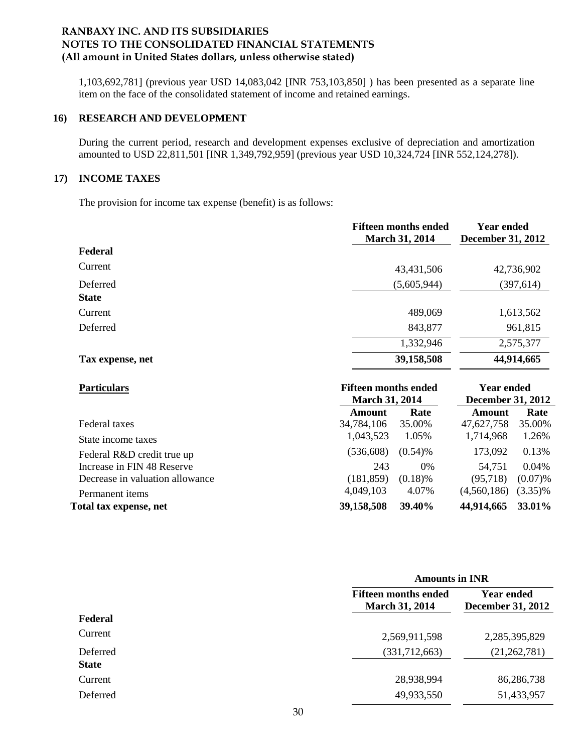1,103,692,781] (previous year USD 14,083,042 [INR 753,103,850] ) has been presented as a separate line item on the face of the consolidated statement of income and retained earnings.

### **16) RESEARCH AND DEVELOPMENT**

During the current period, research and development expenses exclusive of depreciation and amortization amounted to USD 22,811,501 [INR 1,349,792,959] (previous year USD 10,324,724 [INR 552,124,278]).

# **17) INCOME TAXES**

The provision for income tax expense (benefit) is as follows:

|                  | <b>Fifteen months ended</b><br><b>March 31, 2014</b> | <b>Year ended</b><br><b>December 31, 2012</b> |
|------------------|------------------------------------------------------|-----------------------------------------------|
| Federal          |                                                      |                                               |
| Current          | 43,431,506                                           | 42,736,902                                    |
| Deferred         | (5,605,944)                                          | (397, 614)                                    |
| <b>State</b>     |                                                      |                                               |
| Current          | 489,069                                              | 1,613,562                                     |
| Deferred         | 843,877                                              | 961,815                                       |
|                  | 1,332,946                                            | 2,575,377                                     |
| Tax expense, net | 39,158,508                                           | 44,914,665                                    |

| <b>Particulars</b>              | <b>Fifteen months ended</b><br><b>March 31, 2014</b> |            | <b>Year ended</b><br><b>December 31, 2012</b> |            |
|---------------------------------|------------------------------------------------------|------------|-----------------------------------------------|------------|
|                                 | Amount                                               | Rate       | Amount                                        | Rate       |
| Federal taxes                   | 34,784,106                                           | 35.00%     | 47,627,758                                    | 35.00%     |
| State income taxes              | 1,043,523                                            | 1.05%      | 1,714,968                                     | 1.26%      |
| Federal R&D credit true up      | (536, 608)                                           | $(0.54)$ % | 173,092                                       | 0.13%      |
| Increase in FIN 48 Reserve      | 243                                                  | 0%         | 54,751                                        | 0.04%      |
| Decrease in valuation allowance | (181, 859)                                           | $(0.18)\%$ | (95, 718)                                     | $(0.07)$ % |
| Permanent items                 | 4,049,103                                            | 4.07%      | (4,560,186)                                   | $(3.35)\%$ |
| Total tax expense, net          | 39,158,508                                           | 39.40%     | 44,914,665                                    | 33.01%     |

|              | <b>Amounts in INR</b>                                |                                        |
|--------------|------------------------------------------------------|----------------------------------------|
|              | <b>Fifteen months ended</b><br><b>March 31, 2014</b> | Year ended<br><b>December 31, 2012</b> |
| Federal      |                                                      |                                        |
| Current      | 2,569,911,598                                        | 2,285,395,829                          |
| Deferred     | (331,712,663)                                        | (21, 262, 781)                         |
| <b>State</b> |                                                      |                                        |
| Current      | 28,938,994                                           | 86,286,738                             |
| Deferred     | 49,933,550                                           | 51,433,957                             |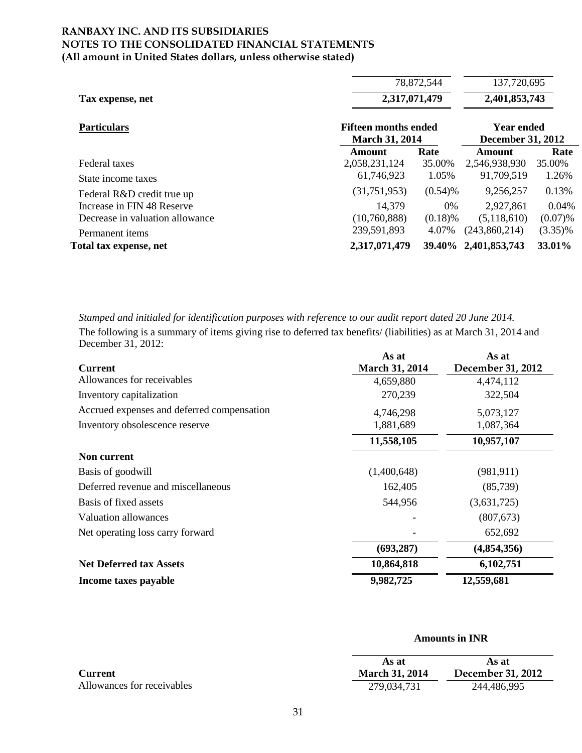|                                 |                                                      | 78,872,544 | 137,720,695          |            |  |                                               |  |
|---------------------------------|------------------------------------------------------|------------|----------------------|------------|--|-----------------------------------------------|--|
| Tax expense, net                | 2,317,071,479                                        |            | 2,401,853,743        |            |  |                                               |  |
| <b>Particulars</b>              | <b>Fifteen months ended</b><br><b>March 31, 2014</b> |            |                      |            |  | <b>Year ended</b><br><b>December 31, 2012</b> |  |
|                                 | Amount                                               | Rate       | Amount               | Rate       |  |                                               |  |
| Federal taxes                   | 2,058,231,124                                        | 35.00%     | 2,546,938,930        | 35.00%     |  |                                               |  |
| State income taxes              | 61,746,923                                           | 1.05%      | 91,709,519           | 1.26%      |  |                                               |  |
| Federal R&D credit true up      | (31,751,953)                                         | (0.54)%    | 9,256,257            | 0.13%      |  |                                               |  |
| Increase in FIN 48 Reserve      | 14,379                                               | 0%         | 2,927,861            | 0.04%      |  |                                               |  |
| Decrease in valuation allowance | (10,760,888)                                         | $(0.18)$ % | (5,118,610)          | $(0.07)$ % |  |                                               |  |
| Permanent items                 | 239,591,893                                          | 4.07%      | (243,860,214)        | $(3.35)\%$ |  |                                               |  |
| Total tax expense, net          | 2,317,071,479                                        |            | 39.40% 2,401,853,743 | 33.01%     |  |                                               |  |

*Stamped and initialed for identification purposes with reference to our audit report dated 20 June 2014.* The following is a summary of items giving rise to deferred tax benefits/ (liabilities) as at March 31, 2014 and December 31, 2012:

|                                            | As at                 | As at             |
|--------------------------------------------|-----------------------|-------------------|
| <b>Current</b>                             | <b>March 31, 2014</b> | December 31, 2012 |
| Allowances for receivables                 | 4,659,880             | 4,474,112         |
| Inventory capitalization                   | 270,239               | 322,504           |
| Accrued expenses and deferred compensation | 4,746,298             | 5,073,127         |
| Inventory obsolescence reserve             | 1,881,689             | 1,087,364         |
|                                            | 11,558,105            | 10,957,107        |
| Non current                                |                       |                   |
| Basis of goodwill                          | (1,400,648)           | (981, 911)        |
| Deferred revenue and miscellaneous         | 162,405               | (85,739)          |
| Basis of fixed assets                      | 544,956               | (3,631,725)       |
| Valuation allowances                       |                       | (807, 673)        |
| Net operating loss carry forward           |                       | 652,692           |
|                                            | (693, 287)            | (4,854,356)       |
| <b>Net Deferred tax Assets</b>             | 10,864,818            | 6,102,751         |
| Income taxes payable                       | 9,982,725             | 12,559,681        |

#### **Amounts in INR**

|                            | As at                 | As at             |
|----------------------------|-----------------------|-------------------|
| <b>Current</b>             | <b>March 31, 2014</b> | December 31, 2012 |
| Allowances for receivables | 279,034,731           | 244,486,995       |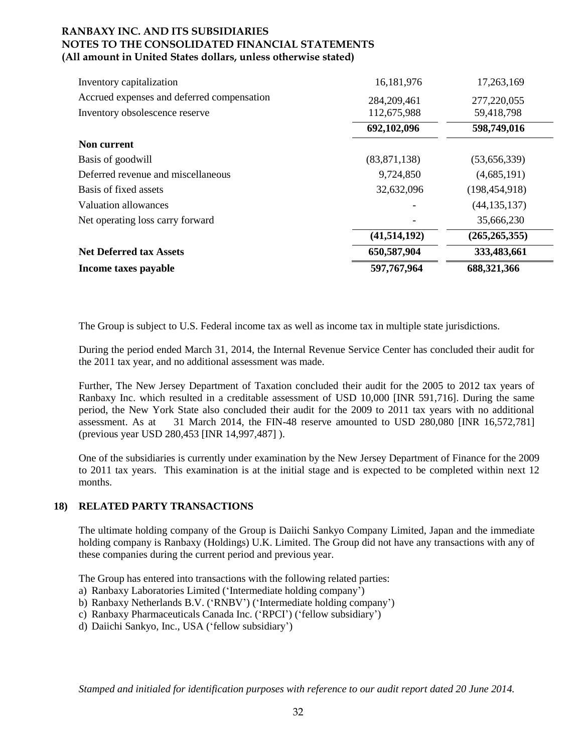| Inventory capitalization                   | 16,181,976     | 17,263,169      |
|--------------------------------------------|----------------|-----------------|
| Accrued expenses and deferred compensation | 284, 209, 461  | 277,220,055     |
| Inventory obsolescence reserve             | 112,675,988    | 59,418,798      |
|                                            | 692,102,096    | 598,749,016     |
| Non current                                |                |                 |
| Basis of goodwill                          | (83, 871, 138) | (53,656,339)    |
| Deferred revenue and miscellaneous         | 9,724,850      | (4,685,191)     |
| Basis of fixed assets                      | 32,632,096     | (198, 454, 918) |
| Valuation allowances                       |                | (44, 135, 137)  |
| Net operating loss carry forward           |                | 35,666,230      |
|                                            | (41,514,192)   | (265, 265, 355) |
| <b>Net Deferred tax Assets</b>             | 650,587,904    | 333,483,661     |
| Income taxes payable                       | 597,767,964    | 688,321,366     |

The Group is subject to U.S. Federal income tax as well as income tax in multiple state jurisdictions.

During the period ended March 31, 2014, the Internal Revenue Service Center has concluded their audit for the 2011 tax year, and no additional assessment was made.

Further, The New Jersey Department of Taxation concluded their audit for the 2005 to 2012 tax years of Ranbaxy Inc. which resulted in a creditable assessment of USD 10,000 [INR 591,716]. During the same period, the New York State also concluded their audit for the 2009 to 2011 tax years with no additional assessment. As at 31 March 2014, the FIN-48 reserve amounted to USD 280,080 [INR 16,572,781] (previous year USD 280,453 [INR 14,997,487] ).

One of the subsidiaries is currently under examination by the New Jersey Department of Finance for the 2009 to 2011 tax years. This examination is at the initial stage and is expected to be completed within next 12 months.

### **18) RELATED PARTY TRANSACTIONS**

The ultimate holding company of the Group is Daiichi Sankyo Company Limited, Japan and the immediate holding company is Ranbaxy (Holdings) U.K. Limited. The Group did not have any transactions with any of these companies during the current period and previous year.

The Group has entered into transactions with the following related parties:

- a) Ranbaxy Laboratories Limited ("Intermediate holding company")
- b) Ranbaxy Netherlands B.V. ("RNBV") ("Intermediate holding company")
- c) Ranbaxy Pharmaceuticals Canada Inc. ("RPCI") ("fellow subsidiary")
- d) Daiichi Sankyo, Inc., USA ("fellow subsidiary")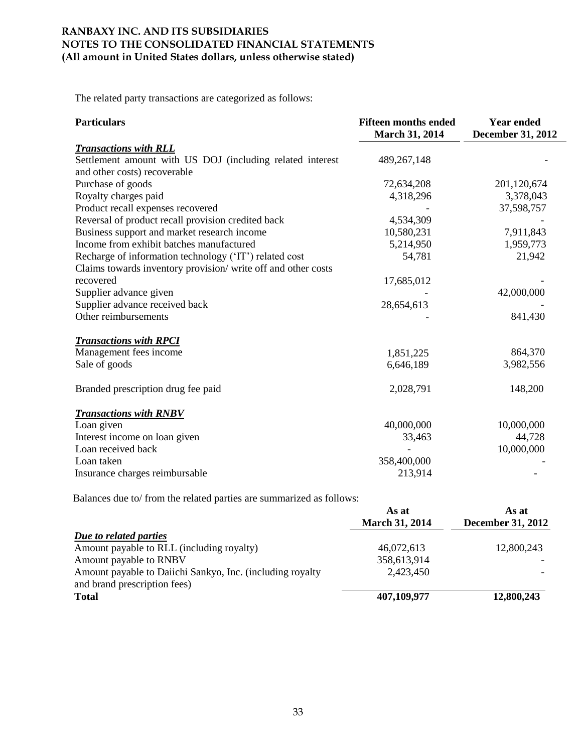The related party transactions are categorized as follows:

| <b>Particulars</b>                                                                        | <b>Fifteen months ended</b><br><b>March 31, 2014</b> | <b>Year ended</b><br>December 31, 2012 |
|-------------------------------------------------------------------------------------------|------------------------------------------------------|----------------------------------------|
| <b>Transactions with RLL</b>                                                              |                                                      |                                        |
| Settlement amount with US DOJ (including related interest<br>and other costs) recoverable | 489, 267, 148                                        |                                        |
| Purchase of goods                                                                         | 72,634,208                                           | 201,120,674                            |
| Royalty charges paid                                                                      | 4,318,296                                            | 3,378,043                              |
| Product recall expenses recovered                                                         |                                                      | 37,598,757                             |
| Reversal of product recall provision credited back                                        | 4,534,309                                            |                                        |
| Business support and market research income                                               | 10,580,231                                           | 7,911,843                              |
| Income from exhibit batches manufactured                                                  | 5,214,950                                            | 1,959,773                              |
| Recharge of information technology ('IT') related cost                                    | 54,781                                               | 21,942                                 |
| Claims towards inventory provision/write off and other costs                              |                                                      |                                        |
| recovered                                                                                 | 17,685,012                                           |                                        |
| Supplier advance given                                                                    |                                                      | 42,000,000                             |
| Supplier advance received back                                                            | 28,654,613                                           |                                        |
| Other reimbursements                                                                      |                                                      | 841,430                                |
| <b>Transactions with RPCI</b>                                                             |                                                      |                                        |
| Management fees income                                                                    | 1,851,225                                            | 864,370                                |
| Sale of goods                                                                             | 6,646,189                                            | 3,982,556                              |
| Branded prescription drug fee paid                                                        | 2,028,791                                            | 148,200                                |
| <b>Transactions with RNBV</b>                                                             |                                                      |                                        |
| Loan given                                                                                | 40,000,000                                           | 10,000,000                             |
| Interest income on loan given                                                             | 33,463                                               | 44,728                                 |
| Loan received back                                                                        |                                                      | 10,000,000                             |
| Loan taken                                                                                | 358,400,000                                          |                                        |
| Insurance charges reimbursable                                                            | 213,914                                              |                                        |

Balances due to/ from the related parties are summarized as follows:

|                                                                                           | As at<br><b>March 31, 2014</b> | As at<br><b>December 31, 2012</b> |
|-------------------------------------------------------------------------------------------|--------------------------------|-----------------------------------|
| Due to related parties                                                                    |                                |                                   |
| Amount payable to RLL (including royalty)                                                 | 46,072,613                     | 12,800,243                        |
| Amount payable to RNBV                                                                    | 358,613,914                    |                                   |
| Amount payable to Daiichi Sankyo, Inc. (including royalty<br>and brand prescription fees) | 2,423,450                      |                                   |
| <b>Total</b>                                                                              | 407,109,977                    | 12,800,243                        |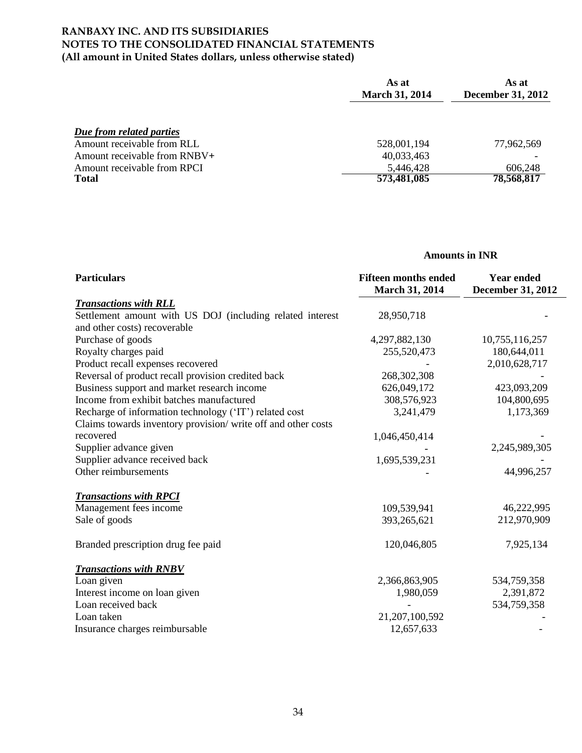|                                                                                        | As at<br><b>March 31, 2014</b> | As at<br><b>December 31, 2012</b> |  |
|----------------------------------------------------------------------------------------|--------------------------------|-----------------------------------|--|
| Due from related parties<br>Amount receivable from RLL<br>Amount receivable from RNBV+ | 528,001,194<br>40,033,463      | 77,962,569                        |  |
| Amount receivable from RPCI<br>Total                                                   | 5,446,428<br>573,481,085       | 606,248<br>78,568,817             |  |

#### ¤ **Amounts in INR**

| <b>Particulars</b>                                                                        | <b>Fifteen months ended</b><br>March 31, 2014 | <b>Year ended</b><br>December 31, 2012 |  |
|-------------------------------------------------------------------------------------------|-----------------------------------------------|----------------------------------------|--|
| <b>Transactions with RLL</b>                                                              |                                               |                                        |  |
| Settlement amount with US DOJ (including related interest<br>and other costs) recoverable | 28,950,718                                    |                                        |  |
| Purchase of goods                                                                         | 4,297,882,130                                 | 10,755,116,257                         |  |
| Royalty charges paid                                                                      | 255,520,473                                   | 180,644,011                            |  |
| Product recall expenses recovered                                                         |                                               | 2,010,628,717                          |  |
| Reversal of product recall provision credited back                                        | 268,302,308                                   |                                        |  |
| Business support and market research income                                               | 626,049,172                                   | 423,093,209                            |  |
| Income from exhibit batches manufactured                                                  | 308,576,923                                   | 104,800,695                            |  |
| Recharge of information technology ('IT') related cost                                    | 3,241,479                                     | 1,173,369                              |  |
| Claims towards inventory provision/write off and other costs                              |                                               |                                        |  |
| recovered                                                                                 | 1,046,450,414                                 |                                        |  |
| Supplier advance given                                                                    |                                               | 2,245,989,305                          |  |
| Supplier advance received back                                                            | 1,695,539,231                                 |                                        |  |
| Other reimbursements                                                                      |                                               | 44,996,257                             |  |
| <b>Transactions with RPCI</b>                                                             |                                               |                                        |  |
| Management fees income                                                                    | 109,539,941                                   | 46,222,995                             |  |
| Sale of goods                                                                             | 393,265,621                                   | 212,970,909                            |  |
| Branded prescription drug fee paid                                                        | 120,046,805                                   | 7,925,134                              |  |
| <b>Transactions with RNBV</b>                                                             |                                               |                                        |  |
| Loan given                                                                                | 2,366,863,905                                 | 534,759,358                            |  |
| Interest income on loan given                                                             | 1,980,059                                     | 2,391,872                              |  |
| Loan received back                                                                        |                                               | 534,759,358                            |  |
| Loan taken                                                                                | 21, 207, 100, 592                             |                                        |  |
| Insurance charges reimbursable                                                            | 12,657,633                                    |                                        |  |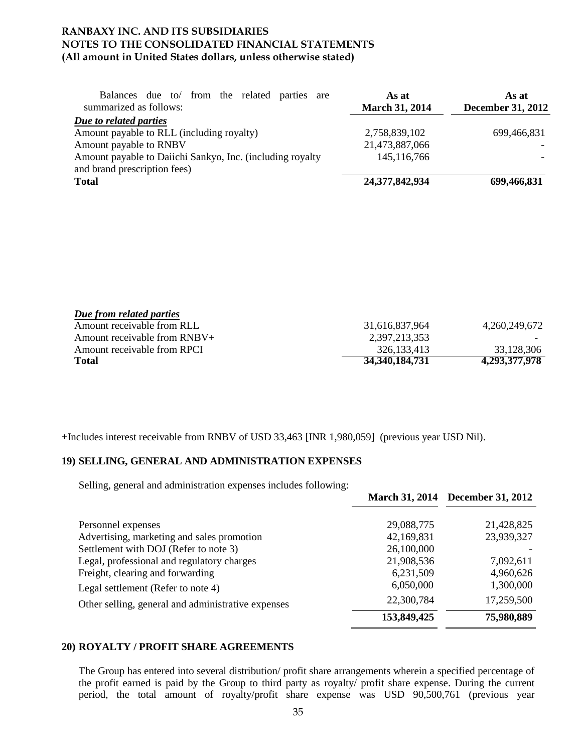| Balances due to/ from the related parties are<br>summarized as follows: | As at<br>March 31, 2014 | As at<br><b>December 31, 2012</b> |
|-------------------------------------------------------------------------|-------------------------|-----------------------------------|
| Due to related parties                                                  |                         |                                   |
| Amount payable to RLL (including royalty)                               | 2,758,839,102           | 699,466,831                       |
| Amount payable to RNBV                                                  | 21,473,887,066          |                                   |
| Amount payable to Daiichi Sankyo, Inc. (including royalty               | 145, 116, 766           |                                   |
| and brand prescription fees)                                            |                         |                                   |
| <b>Total</b>                                                            | 24,377,842,934          | 699,466,831                       |
|                                                                         |                         |                                   |
| Due from related norther                                                |                         |                                   |

| <b>Total</b>                   | 34,340,184,731 | 4,293,377,978 |
|--------------------------------|----------------|---------------|
| Amount receivable from RPCI    | 326.133.413    | 33.128.306    |
|                                |                |               |
| Amount receivable from $RNBV+$ | 2.397.213.353  |               |
| Amount receivable from RLL     | 31.616.837.964 | 4.260.249.672 |
| Due from retailed parties      |                |               |

**+**Includes interest receivable from RNBV of USD 33,463 [INR 1,980,059] (previous year USD Nil).

#### **19) SELLING, GENERAL AND ADMINISTRATION EXPENSES**

Selling, general and administration expenses includes following:

|                                                    |             | March 31, 2014 December 31, 2012 |
|----------------------------------------------------|-------------|----------------------------------|
| Personnel expenses                                 | 29,088,775  | 21,428,825                       |
| Advertising, marketing and sales promotion         | 42,169,831  | 23,939,327                       |
| Settlement with DOJ (Refer to note 3)              | 26,100,000  |                                  |
| Legal, professional and regulatory charges         | 21,908,536  | 7,092,611                        |
| Freight, clearing and forwarding                   | 6,231,509   | 4,960,626                        |
| Legal settlement (Refer to note 4)                 | 6,050,000   | 1,300,000                        |
| Other selling, general and administrative expenses | 22,300,784  | 17,259,500                       |
|                                                    | 153,849,425 | 75,980,889                       |

#### **20) ROYALTY / PROFIT SHARE AGREEMENTS**

The Group has entered into several distribution/ profit share arrangements wherein a specified percentage of the profit earned is paid by the Group to third party as royalty/ profit share expense. During the current period, the total amount of royalty/profit share expense was USD 90,500,761 (previous year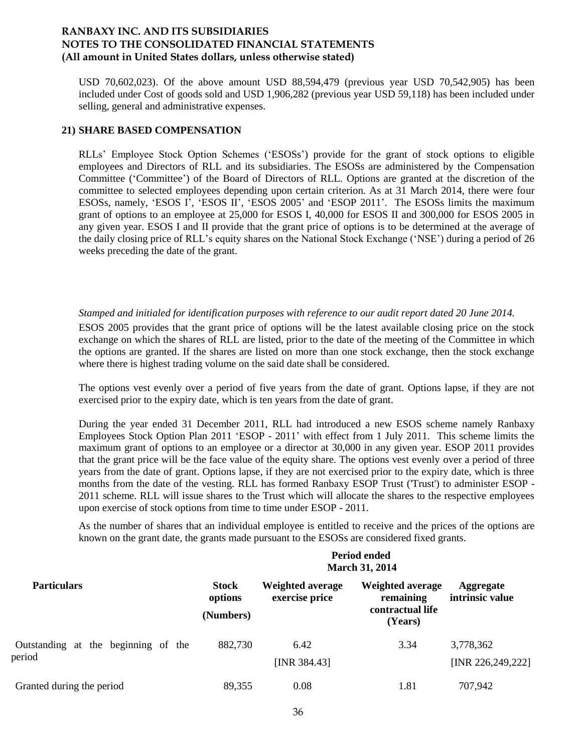USD 70,602,023). Of the above amount USD 88,594,479 (previous year USD 70,542,905) has been included under Cost of goods sold and USD 1,906,282 (previous year USD 59,118) has been included under selling, general and administrative expenses.

### **21) SHARE BASED COMPENSATION**

RLLs" Employee Stock Option Schemes ("ESOSs") provide for the grant of stock options to eligible employees and Directors of RLL and its subsidiaries. The ESOSs are administered by the Compensation Committee ("Committee") of the Board of Directors of RLL. Options are granted at the discretion of the committee to selected employees depending upon certain criterion. As at 31 March 2014, there were four ESOSs, namely, "ESOS I", "ESOS II", "ESOS 2005" and "ESOP 2011". The ESOSs limits the maximum grant of options to an employee at 25,000 for ESOS I, 40,000 for ESOS II and 300,000 for ESOS 2005 in any given year. ESOS I and II provide that the grant price of options is to be determined at the average of the daily closing price of RLL's equity shares on the National Stock Exchange ('NSE') during a period of 26 weeks preceding the date of the grant.

### *Stamped and initialed for identification purposes with reference to our audit report dated 20 June 2014.*

ESOS 2005 provides that the grant price of options will be the latest available closing price on the stock exchange on which the shares of RLL are listed, prior to the date of the meeting of the Committee in which the options are granted. If the shares are listed on more than one stock exchange, then the stock exchange where there is highest trading volume on the said date shall be considered.

The options vest evenly over a period of five years from the date of grant. Options lapse, if they are not exercised prior to the expiry date, which is ten years from the date of grant.

During the year ended 31 December 2011, RLL had introduced a new ESOS scheme namely Ranbaxy Employees Stock Option Plan 2011 "ESOP - 2011" with effect from 1 July 2011. This scheme limits the maximum grant of options to an employee or a director at 30,000 in any given year. ESOP 2011 provides that the grant price will be the face value of the equity share. The options vest evenly over a period of three years from the date of grant. Options lapse, if they are not exercised prior to the expiry date, which is three months from the date of the vesting. RLL has formed Ranbaxy ESOP Trust ('Trust') to administer ESOP - 2011 scheme. RLL will issue shares to the Trust which will allocate the shares to the respective employees upon exercise of stock options from time to time under ESOP - 2011.

As the number of shares that an individual employee is entitled to receive and the prices of the options are known on the grant date, the grants made pursuant to the ESOSs are considered fixed grants.

*<u>Period</u>* 

|                                               | -rerioa enaea<br><b>March 31, 2014</b> |                                           |                                                                     |                                     |  |
|-----------------------------------------------|----------------------------------------|-------------------------------------------|---------------------------------------------------------------------|-------------------------------------|--|
| <b>Particulars</b>                            | <b>Stock</b><br>options<br>(Numbers)   | <b>Weighted average</b><br>exercise price | <b>Weighted average</b><br>remaining<br>contractual life<br>(Years) | <b>Aggregate</b><br>intrinsic value |  |
| Outstanding at the beginning of the<br>period | 882,730                                | 6.42<br>[INR 384.43]                      | 3.34                                                                | 3,778,362<br>[INR 226,249,222]      |  |
| Granted during the period                     | 89,355                                 | 0.08                                      | 1.81                                                                | 707,942                             |  |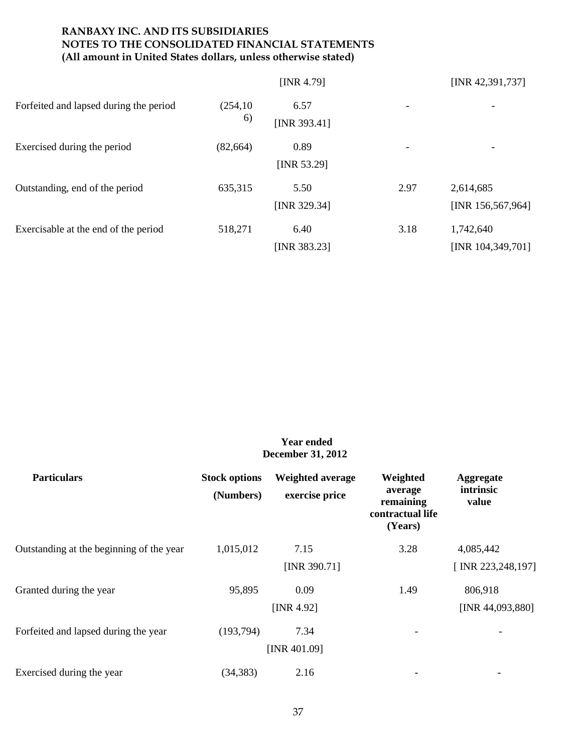|                                        |                 | [INR 4.79]             |      | [INR 42,391,737]               |
|----------------------------------------|-----------------|------------------------|------|--------------------------------|
| Forfeited and lapsed during the period | (254, 10)<br>6) | 6.57<br>[INR 393.41]   |      |                                |
| Exercised during the period            | (82, 664)       | 0.89<br>[INR $53.29$ ] |      | ۰                              |
| Outstanding, end of the period         | 635,315         | 5.50<br>[INR 329.34]   | 2.97 | 2,614,685<br>[INR 156,567,964] |
| Exercisable at the end of the period   | 518,271         | 6.40<br>[INR 383.23]   | 3.18 | 1,742,640<br>[INR 104,349,701] |

## **Year ended December 31, 2012**

| <b>Particulars</b>                       | <b>Stock options</b><br>(Numbers) | <b>Weighted average</b><br>exercise price | Weighted<br>average<br>remaining<br>contractual life<br>(Years) | <b>Aggregate</b><br>intrinsic<br>value |
|------------------------------------------|-----------------------------------|-------------------------------------------|-----------------------------------------------------------------|----------------------------------------|
| Outstanding at the beginning of the year | 1,015,012                         | 7.15                                      | 3.28                                                            | 4,085,442                              |
|                                          |                                   | [INR 390.71]                              |                                                                 | [INR 223,248,197]                      |
| Granted during the year                  | 95,895                            | 0.09                                      | 1.49                                                            | 806,918                                |
|                                          |                                   | [INR 4.92]                                |                                                                 | [INR 44,093,880]                       |
| Forfeited and lapsed during the year     | (193,794)                         | 7.34                                      |                                                                 |                                        |
|                                          |                                   | [INR $401.09$ ]                           |                                                                 |                                        |
| Exercised during the year                | (34, 383)                         | 2.16                                      |                                                                 |                                        |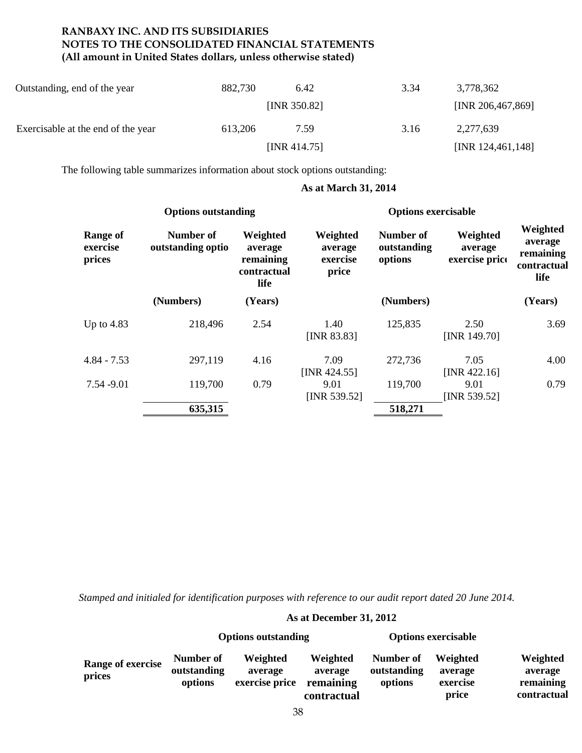| Outstanding, end of the year       | 882,730 | 6.42            | 3.34 | 3,778,362            |
|------------------------------------|---------|-----------------|------|----------------------|
|                                    |         | [INR $350.82$ ] |      | [INR 206,467,869]    |
| Exercisable at the end of the year | 613,206 | 7.59            | 3.16 | 2,277,639            |
|                                    |         | [INR 414.75]    |      | [INR $124,461,148$ ] |

The following table summarizes information about stock options outstanding:

#### **As at March 31, 2014**

| <b>Options outstanding</b>            |                                       |                                                         |                                          | <b>Options exercisable</b>          |                                       |                                                         |  |
|---------------------------------------|---------------------------------------|---------------------------------------------------------|------------------------------------------|-------------------------------------|---------------------------------------|---------------------------------------------------------|--|
| <b>Range of</b><br>exercise<br>prices | <b>Number of</b><br>outstanding optio | Weighted<br>average<br>remaining<br>contractual<br>life | Weighted<br>average<br>exercise<br>price | Number of<br>outstanding<br>options | Weighted<br>average<br>exercise price | Weighted<br>average<br>remaining<br>contractual<br>life |  |
|                                       | (Numbers)                             | (Years)                                                 |                                          | (Numbers)                           |                                       | (Years)                                                 |  |
| Up to $4.83$                          | 218,496                               | 2.54                                                    | 1.40<br>[INR 83.83]                      | 125,835                             | 2.50<br>[INR $149.70$ ]               | 3.69                                                    |  |
| $4.84 - 7.53$                         | 297,119                               | 4.16                                                    | 7.09<br>[INR 424.55]                     | 272,736                             | 7.05<br>[INR 422.16]                  | 4.00                                                    |  |
| 7.54 - 9.01                           | 119,700                               | 0.79                                                    | 9.01<br>[INR 539.52]                     | 119,700                             | 9.01<br>[INR 539.52]                  | 0.79                                                    |  |
|                                       | 635,315                               |                                                         |                                          | 518,271                             |                                       |                                                         |  |

*Stamped and initialed for identification purposes with reference to our audit report dated 20 June 2014.*

|                                    | <b>Options outstanding</b>          |                                       | <b>Options exercisable</b>                      |                                     |                                          |                                                 |
|------------------------------------|-------------------------------------|---------------------------------------|-------------------------------------------------|-------------------------------------|------------------------------------------|-------------------------------------------------|
| <b>Range of exercise</b><br>prices | Number of<br>outstanding<br>options | Weighted<br>average<br>exercise price | Weighted<br>average<br>remaining<br>contractual | Number of<br>outstanding<br>options | Weighted<br>average<br>exercise<br>price | Weighted<br>average<br>remaining<br>contractual |

 **As at December 31, 2012**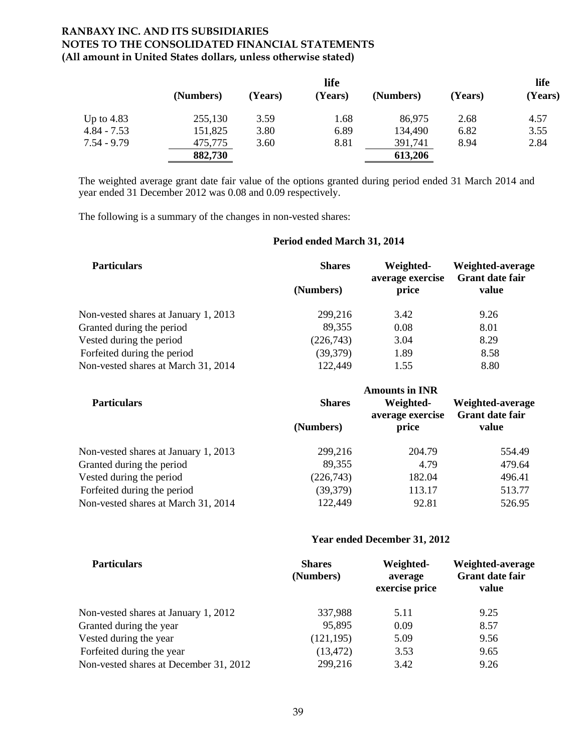|               |           | life    |         |           |         | life    |
|---------------|-----------|---------|---------|-----------|---------|---------|
|               | (Numbers) | (Years) | (Years) | (Numbers) | (Years) | (Years) |
| Up to $4.83$  | 255,130   | 3.59    | 1.68    | 86,975    | 2.68    | 4.57    |
| $4.84 - 7.53$ | 151,825   | 3.80    | 6.89    | 134,490   | 6.82    | 3.55    |
| 7.54 - 9.79   | 475,775   | 3.60    | 8.81    | 391,741   | 8.94    | 2.84    |
|               | 882,730   |         |         | 613,206   |         |         |

The weighted average grant date fair value of the options granted during period ended 31 March 2014 and year ended 31 December 2012 was 0.08 and 0.09 respectively.

The following is a summary of the changes in non-vested shares:

#### **Period ended March 31, 2014**

| <b>Particulars</b>                   | <b>Shares</b> | Weighted-<br>average exercise | Weighted-average<br><b>Grant date fair</b> |
|--------------------------------------|---------------|-------------------------------|--------------------------------------------|
|                                      | (Numbers)     | price                         | value                                      |
| Non-vested shares at January 1, 2013 | 299,216       | 3.42                          | 9.26                                       |
| Granted during the period            | 89,355        | 0.08                          | 8.01                                       |
| Vested during the period             | (226,743)     | 3.04                          | 8.29                                       |
| Forfeited during the period          | (39, 379)     | 1.89                          | 8.58                                       |
| Non-vested shares at March 31, 2014  | 122,449       | 1.55                          | 8.80                                       |

|                                      | <b>Amounts in INR</b> |                               |                                            |  |  |
|--------------------------------------|-----------------------|-------------------------------|--------------------------------------------|--|--|
| <b>Particulars</b>                   | <b>Shares</b>         | Weighted-<br>average exercise | Weighted-average<br><b>Grant date fair</b> |  |  |
|                                      | (Numbers)             | price                         | value                                      |  |  |
| Non-vested shares at January 1, 2013 | 299,216               | 204.79                        | 554.49                                     |  |  |
| Granted during the period            | 89,355                | 4.79                          | 479.64                                     |  |  |
| Vested during the period             | (226,743)             | 182.04                        | 496.41                                     |  |  |
| Forfeited during the period          | (39,379)              | 113.17                        | 513.77                                     |  |  |
| Non-vested shares at March 31, 2014  | 122,449               | 92.81                         | 526.95                                     |  |  |

### **Year ended December 31, 2012**

| <b>Particulars</b>                     | <b>Shares</b><br>(Numbers) | Weighted-<br>average<br>exercise price | Weighted-average<br><b>Grant date fair</b><br>value |
|----------------------------------------|----------------------------|----------------------------------------|-----------------------------------------------------|
| Non-vested shares at January 1, 2012   | 337,988                    | 5.11                                   | 9.25                                                |
| Granted during the year                | 95,895                     | 0.09                                   | 8.57                                                |
| Vested during the year                 | (121, 195)                 | 5.09                                   | 9.56                                                |
| Forfeited during the year              | (13, 472)                  | 3.53                                   | 9.65                                                |
| Non-vested shares at December 31, 2012 | 299,216                    | 3.42                                   | 9.26                                                |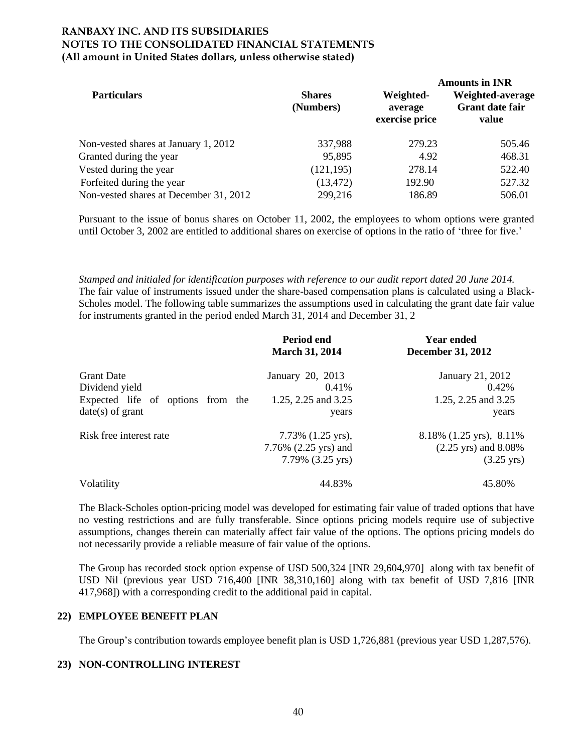|                                        |                            |                                        | <b>Amounts in INR</b>                               |  |
|----------------------------------------|----------------------------|----------------------------------------|-----------------------------------------------------|--|
| <b>Particulars</b>                     | <b>Shares</b><br>(Numbers) | Weighted-<br>average<br>exercise price | Weighted-average<br><b>Grant date fair</b><br>value |  |
| Non-vested shares at January 1, 2012   | 337,988                    | 279.23                                 | 505.46                                              |  |
| Granted during the year                | 95,895                     | 4.92                                   | 468.31                                              |  |
| Vested during the year                 | (121, 195)                 | 278.14                                 | 522.40                                              |  |
| Forfeited during the year              | (13, 472)                  | 192.90                                 | 527.32                                              |  |
| Non-vested shares at December 31, 2012 | 299,216                    | 186.89                                 | 506.01                                              |  |

Pursuant to the issue of bonus shares on October 11, 2002, the employees to whom options were granted until October 3, 2002 are entitled to additional shares on exercise of options in the ratio of "three for five."

*Stamped and initialed for identification purposes with reference to our audit report dated 20 June 2014.* The fair value of instruments issued under the share-based compensation plans is calculated using a Black-Scholes model. The following table summarizes the assumptions used in calculating the grant date fair value for instruments granted in the period ended March 31, 2014 and December 31, 2

|                                   | Period end<br><b>March 31, 2014</b> | <b>Year ended</b><br><b>December 31, 2012</b> |
|-----------------------------------|-------------------------------------|-----------------------------------------------|
| <b>Grant Date</b>                 | January 20, 2013                    | January 21, 2012                              |
| Dividend yield                    | 0.41%                               | 0.42%                                         |
| Expected life of options from the | 1.25, 2.25 and 3.25                 | 1.25, 2.25 and 3.25                           |
| $date(s)$ of grant                | years                               | years                                         |
| Risk free interest rate           | $7.73\%$ (1.25 yrs),                | 8.18% (1.25 yrs), 8.11%                       |
|                                   | 7.76% (2.25 yrs) and                | $(2.25 \text{ yrs})$ and $8.08\%$             |
|                                   | 7.79% (3.25 yrs)                    | $(3.25 \text{ yrs})$                          |
| Volatility                        | 44.83%                              | 45.80%                                        |

The Black-Scholes option-pricing model was developed for estimating fair value of traded options that have no vesting restrictions and are fully transferable. Since options pricing models require use of subjective assumptions, changes therein can materially affect fair value of the options. The options pricing models do not necessarily provide a reliable measure of fair value of the options.

The Group has recorded stock option expense of USD 500,324 [INR 29,604,970] along with tax benefit of USD Nil (previous year USD 716,400 [INR 38,310,160] along with tax benefit of USD 7,816 [INR 417,968]) with a corresponding credit to the additional paid in capital.

### **22) EMPLOYEE BENEFIT PLAN**

The Group"s contribution towards employee benefit plan is USD 1,726,881 (previous year USD 1,287,576).

### **23) NON-CONTROLLING INTEREST**